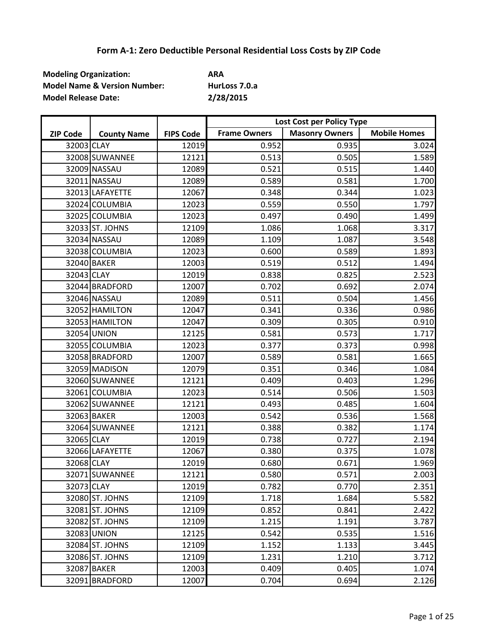| <b>Modeling Organization:</b>           | ARA           |
|-----------------------------------------|---------------|
| <b>Model Name &amp; Version Number:</b> | HurLoss 7.0.a |
| <b>Model Release Date:</b>              | 2/28/2015     |

|                 |                    |                  | Lost Cost per Policy Type |                       |                     |
|-----------------|--------------------|------------------|---------------------------|-----------------------|---------------------|
| <b>ZIP Code</b> | <b>County Name</b> | <b>FIPS Code</b> | <b>Frame Owners</b>       | <b>Masonry Owners</b> | <b>Mobile Homes</b> |
| 32003 CLAY      |                    | 12019            | 0.952                     | 0.935                 | 3.024               |
|                 | 32008 SUWANNEE     | 12121            | 0.513                     | 0.505                 | 1.589               |
|                 | 32009 NASSAU       | 12089            | 0.521                     | 0.515                 | 1.440               |
|                 | 32011 NASSAU       | 12089            | 0.589                     | 0.581                 | 1.700               |
|                 | 32013 LAFAYETTE    | 12067            | 0.348                     | 0.344                 | 1.023               |
|                 | 32024 COLUMBIA     | 12023            | 0.559                     | 0.550                 | 1.797               |
|                 | 32025 COLUMBIA     | 12023            | 0.497                     | 0.490                 | 1.499               |
|                 | 32033 ST. JOHNS    | 12109            | 1.086                     | 1.068                 | 3.317               |
|                 | 32034 NASSAU       | 12089            | 1.109                     | 1.087                 | 3.548               |
|                 | 32038 COLUMBIA     | 12023            | 0.600                     | 0.589                 | 1.893               |
|                 | 32040 BAKER        | 12003            | 0.519                     | 0.512                 | 1.494               |
| 32043 CLAY      |                    | 12019            | 0.838                     | 0.825                 | 2.523               |
|                 | 32044 BRADFORD     | 12007            | 0.702                     | 0.692                 | 2.074               |
|                 | 32046 NASSAU       | 12089            | 0.511                     | 0.504                 | 1.456               |
|                 | 32052 HAMILTON     | 12047            | 0.341                     | 0.336                 | 0.986               |
|                 | 32053 HAMILTON     | 12047            | 0.309                     | 0.305                 | 0.910               |
|                 | 32054 UNION        | 12125            | 0.581                     | 0.573                 | 1.717               |
|                 | 32055 COLUMBIA     | 12023            | 0.377                     | 0.373                 | 0.998               |
|                 | 32058 BRADFORD     | 12007            | 0.589                     | 0.581                 | 1.665               |
|                 | 32059 MADISON      | 12079            | 0.351                     | 0.346                 | 1.084               |
|                 | 32060 SUWANNEE     | 12121            | 0.409                     | 0.403                 | 1.296               |
|                 | 32061 COLUMBIA     | 12023            | 0.514                     | 0.506                 | 1.503               |
|                 | 32062 SUWANNEE     | 12121            | 0.493                     | 0.485                 | 1.604               |
|                 | 32063 BAKER        | 12003            | 0.542                     | 0.536                 | 1.568               |
|                 | 32064 SUWANNEE     | 12121            | 0.388                     | 0.382                 | 1.174               |
| 32065 CLAY      |                    | 12019            | 0.738                     | 0.727                 | 2.194               |
|                 | 32066 LAFAYETTE    | 12067            | 0.380                     | 0.375                 | 1.078               |
| 32068 CLAY      |                    | 12019            | 0.680                     | 0.671                 | 1.969               |
|                 | 32071 SUWANNEE     | 12121            | 0.580                     | 0.571                 | 2.003               |
| 32073 CLAY      |                    | 12019            | 0.782                     | 0.770                 | 2.351               |
|                 | 32080 ST. JOHNS    | 12109            | 1.718                     | 1.684                 | 5.582               |
|                 | 32081 ST. JOHNS    | 12109            | 0.852                     | 0.841                 | 2.422               |
|                 | 32082 ST. JOHNS    | 12109            | 1.215                     | 1.191                 | 3.787               |
|                 | 32083 UNION        | 12125            | 0.542                     | 0.535                 | 1.516               |
|                 | 32084 ST. JOHNS    | 12109            | 1.152                     | 1.133                 | 3.445               |
|                 | 32086 ST. JOHNS    | 12109            | 1.231                     | 1.210                 | 3.712               |
|                 | 32087 BAKER        | 12003            | 0.409                     | 0.405                 | 1.074               |
|                 | 32091 BRADFORD     | 12007            | 0.704                     | 0.694                 | 2.126               |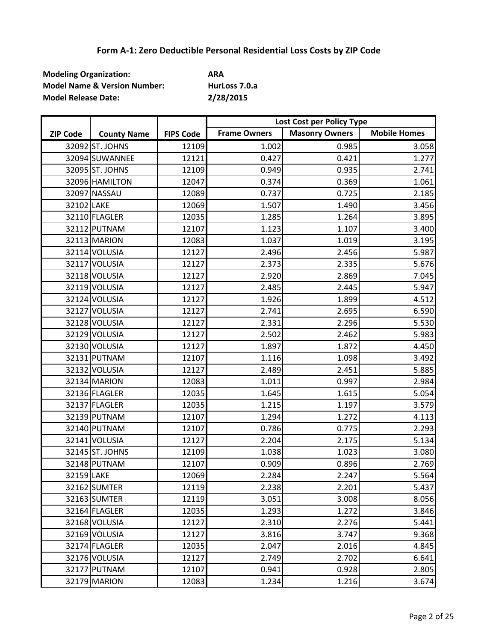| <b>Modeling Organization:</b>           | ARA           |
|-----------------------------------------|---------------|
| <b>Model Name &amp; Version Number:</b> | HurLoss 7.0.a |
| <b>Model Release Date:</b>              | 2/28/2015     |

|                 |                    |                  | Lost Cost per Policy Type |                       |                     |
|-----------------|--------------------|------------------|---------------------------|-----------------------|---------------------|
| <b>ZIP Code</b> | <b>County Name</b> | <b>FIPS Code</b> | <b>Frame Owners</b>       | <b>Masonry Owners</b> | <b>Mobile Homes</b> |
|                 | 32092 ST. JOHNS    | 12109            | 1.002                     | 0.985                 | 3.058               |
|                 | 32094 SUWANNEE     | 12121            | 0.427                     | 0.421                 | 1.277               |
|                 | 32095 ST. JOHNS    | 12109            | 0.949                     | 0.935                 | 2.741               |
|                 | 32096 HAMILTON     | 12047            | 0.374                     | 0.369                 | 1.061               |
|                 | 32097 NASSAU       | 12089            | 0.737                     | 0.725                 | 2.185               |
| 32102 LAKE      |                    | 12069            | 1.507                     | 1.490                 | 3.456               |
|                 | 32110 FLAGLER      | 12035            | 1.285                     | 1.264                 | 3.895               |
|                 | 32112 PUTNAM       | 12107            | 1.123                     | 1.107                 | 3.400               |
|                 | 32113 MARION       | 12083            | 1.037                     | 1.019                 | 3.195               |
|                 | 32114 VOLUSIA      | 12127            | 2.496                     | 2.456                 | 5.987               |
|                 | 32117 VOLUSIA      | 12127            | 2.373                     | 2.335                 | 5.676               |
|                 | 32118 VOLUSIA      | 12127            | 2.920                     | 2.869                 | 7.045               |
|                 | 32119 VOLUSIA      | 12127            | 2.485                     | 2.445                 | 5.947               |
|                 | 32124 VOLUSIA      | 12127            | 1.926                     | 1.899                 | 4.512               |
|                 | 32127 VOLUSIA      | 12127            | 2.741                     | 2.695                 | 6.590               |
|                 | 32128 VOLUSIA      | 12127            | 2.331                     | 2.296                 | 5.530               |
|                 | 32129 VOLUSIA      | 12127            | 2.502                     | 2.462                 | 5.983               |
|                 | 32130 VOLUSIA      | 12127            | 1.897                     | 1.872                 | 4.450               |
|                 | 32131 PUTNAM       | 12107            | 1.116                     | 1.098                 | 3.492               |
|                 | 32132 VOLUSIA      | 12127            | 2.489                     | 2.451                 | 5.885               |
|                 | 32134 MARION       | 12083            | 1.011                     | 0.997                 | 2.984               |
|                 | 32136 FLAGLER      | 12035            | 1.645                     | 1.615                 | 5.054               |
|                 | 32137 FLAGLER      | 12035            | 1.215                     | 1.197                 | 3.579               |
|                 | 32139 PUTNAM       | 12107            | 1.294                     | 1.272                 | 4.113               |
|                 | 32140 PUTNAM       | 12107            | 0.786                     | 0.775                 | 2.293               |
|                 | 32141 VOLUSIA      | 12127            | 2.204                     | 2.175                 | 5.134               |
|                 | 32145 ST. JOHNS    | 12109            | 1.038                     | 1.023                 | 3.080               |
|                 | 32148 PUTNAM       | 12107            | 0.909                     | 0.896                 | 2.769               |
| 32159 LAKE      |                    | 12069            | 2.284                     | 2.247                 | 5.564               |
|                 | 32162 SUMTER       | 12119            | 2.238                     | 2.201                 | 5.437               |
|                 | 32163 SUMTER       | 12119            | 3.051                     | 3.008                 | 8.056               |
|                 | 32164 FLAGLER      | 12035            | 1.293                     | 1.272                 | 3.846               |
|                 | 32168 VOLUSIA      | 12127            | 2.310                     | 2.276                 | 5.441               |
|                 | 32169 VOLUSIA      | 12127            | 3.816                     | 3.747                 | 9.368               |
|                 | 32174 FLAGLER      | 12035            | 2.047                     | 2.016                 | 4.845               |
|                 | 32176 VOLUSIA      | 12127            | 2.749                     | 2.702                 | 6.641               |
|                 | 32177 PUTNAM       | 12107            | 0.941                     | 0.928                 | 2.805               |
|                 | 32179 MARION       | 12083            | 1.234                     | 1.216                 | 3.674               |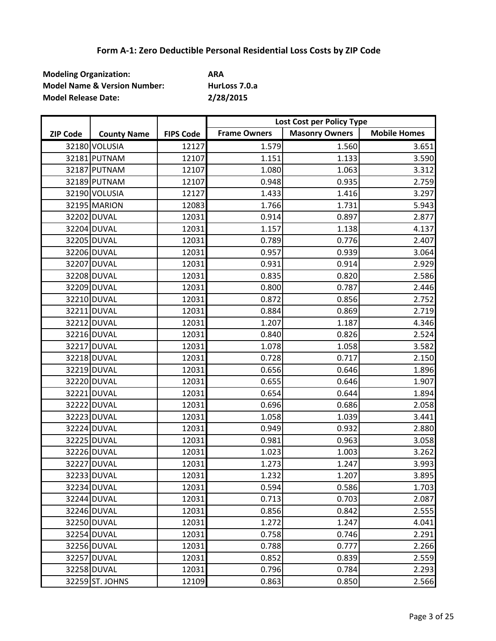| <b>Modeling Organization:</b>           | ARA           |
|-----------------------------------------|---------------|
| <b>Model Name &amp; Version Number:</b> | HurLoss 7.0.a |
| <b>Model Release Date:</b>              | 2/28/2015     |

|                 |                    |                  | Lost Cost per Policy Type |                       |                     |
|-----------------|--------------------|------------------|---------------------------|-----------------------|---------------------|
| <b>ZIP Code</b> | <b>County Name</b> | <b>FIPS Code</b> | <b>Frame Owners</b>       | <b>Masonry Owners</b> | <b>Mobile Homes</b> |
|                 | 32180 VOLUSIA      | 12127            | 1.579                     | 1.560                 | 3.651               |
|                 | 32181 PUTNAM       | 12107            | 1.151                     | 1.133                 | 3.590               |
|                 | 32187 PUTNAM       | 12107            | 1.080                     | 1.063                 | 3.312               |
|                 | 32189 PUTNAM       | 12107            | 0.948                     | 0.935                 | 2.759               |
|                 | 32190 VOLUSIA      | 12127            | 1.433                     | 1.416                 | 3.297               |
|                 | 32195 MARION       | 12083            | 1.766                     | 1.731                 | 5.943               |
|                 | 32202 DUVAL        | 12031            | 0.914                     | 0.897                 | 2.877               |
|                 | 32204 DUVAL        | 12031            | 1.157                     | 1.138                 | 4.137               |
|                 | 32205 DUVAL        | 12031            | 0.789                     | 0.776                 | 2.407               |
|                 | 32206 DUVAL        | 12031            | 0.957                     | 0.939                 | 3.064               |
|                 | 32207 DUVAL        | 12031            | 0.931                     | 0.914                 | 2.929               |
|                 | 32208 DUVAL        | 12031            | 0.835                     | 0.820                 | 2.586               |
|                 | 32209 DUVAL        | 12031            | 0.800                     | 0.787                 | 2.446               |
|                 | 32210 DUVAL        | 12031            | 0.872                     | 0.856                 | 2.752               |
|                 | 32211 DUVAL        | 12031            | 0.884                     | 0.869                 | 2.719               |
|                 | 32212 DUVAL        | 12031            | 1.207                     | 1.187                 | 4.346               |
|                 | 32216 DUVAL        | 12031            | 0.840                     | 0.826                 | 2.524               |
|                 | 32217 DUVAL        | 12031            | 1.078                     | 1.058                 | 3.582               |
|                 | 32218 DUVAL        | 12031            | 0.728                     | 0.717                 | 2.150               |
|                 | 32219 DUVAL        | 12031            | 0.656                     | 0.646                 | 1.896               |
|                 | 32220 DUVAL        | 12031            | 0.655                     | 0.646                 | 1.907               |
|                 | 32221 DUVAL        | 12031            | 0.654                     | 0.644                 | 1.894               |
|                 | 32222 DUVAL        | 12031            | 0.696                     | 0.686                 | 2.058               |
|                 | 32223 DUVAL        | 12031            | 1.058                     | 1.039                 | 3.441               |
|                 | 32224 DUVAL        | 12031            | 0.949                     | 0.932                 | 2.880               |
|                 | 32225 DUVAL        | 12031            | 0.981                     | 0.963                 | 3.058               |
|                 | 32226 DUVAL        | 12031            | 1.023                     | 1.003                 | 3.262               |
|                 | 32227 DUVAL        | 12031            | 1.273                     | 1.247                 | 3.993               |
|                 | 32233 DUVAL        | 12031            | 1.232                     | 1.207                 | 3.895               |
|                 | 32234 DUVAL        | 12031            | 0.594                     | 0.586                 | 1.703               |
|                 | 32244 DUVAL        | 12031            | 0.713                     | 0.703                 | 2.087               |
|                 | 32246 DUVAL        | 12031            | 0.856                     | 0.842                 | 2.555               |
|                 | 32250 DUVAL        | 12031            | 1.272                     | 1.247                 | 4.041               |
|                 | 32254 DUVAL        | 12031            | 0.758                     | 0.746                 | 2.291               |
|                 | 32256 DUVAL        | 12031            | 0.788                     | 0.777                 | 2.266               |
|                 | 32257 DUVAL        | 12031            | 0.852                     | 0.839                 | 2.559               |
|                 | 32258 DUVAL        | 12031            | 0.796                     | 0.784                 | 2.293               |
|                 | 32259 ST. JOHNS    | 12109            | 0.863                     | 0.850                 | 2.566               |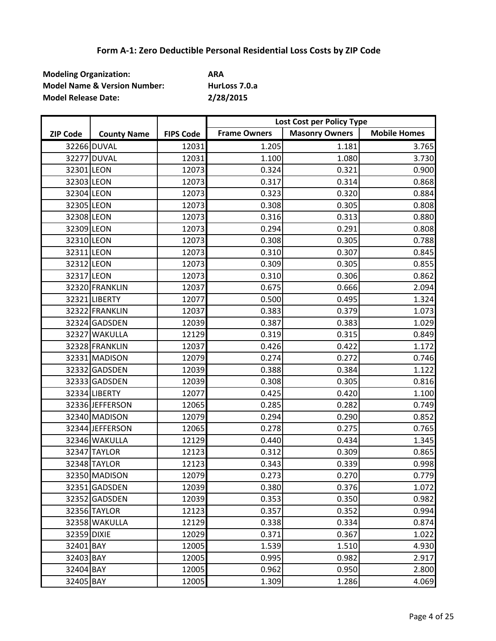| <b>Modeling Organization:</b>           | ARA           |
|-----------------------------------------|---------------|
| <b>Model Name &amp; Version Number:</b> | HurLoss 7.0.a |
| <b>Model Release Date:</b>              | 2/28/2015     |

|                 |                    |                  | Lost Cost per Policy Type |                       |                     |
|-----------------|--------------------|------------------|---------------------------|-----------------------|---------------------|
| <b>ZIP Code</b> | <b>County Name</b> | <b>FIPS Code</b> | <b>Frame Owners</b>       | <b>Masonry Owners</b> | <b>Mobile Homes</b> |
|                 | 32266 DUVAL        | 12031            | 1.205                     | 1.181                 | 3.765               |
|                 | 32277 DUVAL        | 12031            | 1.100                     | 1.080                 | 3.730               |
| 32301 LEON      |                    | 12073            | 0.324                     | 0.321                 | 0.900               |
| 32303 LEON      |                    | 12073            | 0.317                     | 0.314                 | 0.868               |
| 32304 LEON      |                    | 12073            | 0.323                     | 0.320                 | 0.884               |
| 32305 LEON      |                    | 12073            | 0.308                     | 0.305                 | 0.808               |
| 32308 LEON      |                    | 12073            | 0.316                     | 0.313                 | 0.880               |
| 32309 LEON      |                    | 12073            | 0.294                     | 0.291                 | 0.808               |
| 32310 LEON      |                    | 12073            | 0.308                     | 0.305                 | 0.788               |
| 32311 LEON      |                    | 12073            | 0.310                     | 0.307                 | 0.845               |
| 32312 LEON      |                    | 12073            | 0.309                     | 0.305                 | 0.855               |
| 32317 LEON      |                    | 12073            | 0.310                     | 0.306                 | 0.862               |
|                 | 32320 FRANKLIN     | 12037            | 0.675                     | 0.666                 | 2.094               |
|                 | 32321 LIBERTY      | 12077            | 0.500                     | 0.495                 | 1.324               |
|                 | 32322 FRANKLIN     | 12037            | 0.383                     | 0.379                 | 1.073               |
|                 | 32324 GADSDEN      | 12039            | 0.387                     | 0.383                 | 1.029               |
|                 | 32327 WAKULLA      | 12129            | 0.319                     | 0.315                 | 0.849               |
|                 | 32328 FRANKLIN     | 12037            | 0.426                     | 0.422                 | 1.172               |
|                 | 32331 MADISON      | 12079            | 0.274                     | 0.272                 | 0.746               |
|                 | 32332 GADSDEN      | 12039            | 0.388                     | 0.384                 | 1.122               |
|                 | 32333 GADSDEN      | 12039            | 0.308                     | 0.305                 | 0.816               |
|                 | 32334 LIBERTY      | 12077            | 0.425                     | 0.420                 | 1.100               |
|                 | 32336 JEFFERSON    | 12065            | 0.285                     | 0.282                 | 0.749               |
|                 | 32340 MADISON      | 12079            | 0.294                     | 0.290                 | 0.852               |
|                 | 32344 JEFFERSON    | 12065            | 0.278                     | 0.275                 | 0.765               |
|                 | 32346 WAKULLA      | 12129            | 0.440                     | 0.434                 | 1.345               |
|                 | 32347 TAYLOR       | 12123            | 0.312                     | 0.309                 | 0.865               |
|                 | 32348 TAYLOR       | 12123            | 0.343                     | 0.339                 | 0.998               |
|                 | 32350 MADISON      | 12079            | 0.273                     | 0.270                 | 0.779               |
|                 | 32351 GADSDEN      | 12039            | 0.380                     | 0.376                 | 1.072               |
|                 | 32352 GADSDEN      | 12039            | 0.353                     | 0.350                 | 0.982               |
|                 | 32356 TAYLOR       | 12123            | 0.357                     | 0.352                 | 0.994               |
|                 | 32358 WAKULLA      | 12129            | 0.338                     | 0.334                 | 0.874               |
| 32359 DIXIE     |                    | 12029            | 0.371                     | 0.367                 | 1.022               |
| 32401 BAY       |                    | 12005            | 1.539                     | 1.510                 | 4.930               |
| 32403 BAY       |                    | 12005            | 0.995                     | 0.982                 | 2.917               |
| 32404 BAY       |                    | 12005            | 0.962                     | 0.950                 | 2.800               |
| 32405 BAY       |                    | 12005            | 1.309                     | 1.286                 | 4.069               |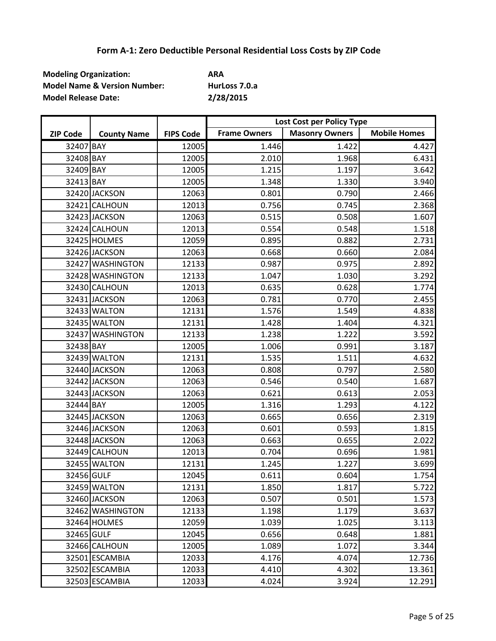| <b>Modeling Organization:</b>           | ARA           |
|-----------------------------------------|---------------|
| <b>Model Name &amp; Version Number:</b> | HurLoss 7.0.a |
| <b>Model Release Date:</b>              | 2/28/2015     |

|                 |                    |                  | Lost Cost per Policy Type |                       |                     |
|-----------------|--------------------|------------------|---------------------------|-----------------------|---------------------|
| <b>ZIP Code</b> | <b>County Name</b> | <b>FIPS Code</b> | <b>Frame Owners</b>       | <b>Masonry Owners</b> | <b>Mobile Homes</b> |
| 32407 BAY       |                    | 12005            | 1.446                     | 1.422                 | 4.427               |
| 32408 BAY       |                    | 12005            | 2.010                     | 1.968                 | 6.431               |
| 32409 BAY       |                    | 12005            | 1.215                     | 1.197                 | 3.642               |
| 32413 BAY       |                    | 12005            | 1.348                     | 1.330                 | 3.940               |
|                 | 32420 JACKSON      | 12063            | 0.801                     | 0.790                 | 2.466               |
|                 | 32421 CALHOUN      | 12013            | 0.756                     | 0.745                 | 2.368               |
|                 | 32423 JACKSON      | 12063            | 0.515                     | 0.508                 | 1.607               |
|                 | 32424 CALHOUN      | 12013            | 0.554                     | 0.548                 | 1.518               |
|                 | 32425 HOLMES       | 12059            | 0.895                     | 0.882                 | 2.731               |
|                 | 32426 JACKSON      | 12063            | 0.668                     | 0.660                 | 2.084               |
|                 | 32427 WASHINGTON   | 12133            | 0.987                     | 0.975                 | 2.892               |
|                 | 32428 WASHINGTON   | 12133            | 1.047                     | 1.030                 | 3.292               |
|                 | 32430 CALHOUN      | 12013            | 0.635                     | 0.628                 | 1.774               |
|                 | 32431 JACKSON      | 12063            | 0.781                     | 0.770                 | 2.455               |
|                 | 32433 WALTON       | 12131            | 1.576                     | 1.549                 | 4.838               |
|                 | 32435 WALTON       | 12131            | 1.428                     | 1.404                 | 4.321               |
|                 | 32437 WASHINGTON   | 12133            | 1.238                     | 1.222                 | 3.592               |
| 32438 BAY       |                    | 12005            | 1.006                     | 0.991                 | 3.187               |
|                 | 32439 WALTON       | 12131            | 1.535                     | 1.511                 | 4.632               |
|                 | 32440 JACKSON      | 12063            | 0.808                     | 0.797                 | 2.580               |
|                 | 32442 JACKSON      | 12063            | 0.546                     | 0.540                 | 1.687               |
|                 | 32443 JACKSON      | 12063            | 0.621                     | 0.613                 | 2.053               |
| 32444 BAY       |                    | 12005            | 1.316                     | 1.293                 | 4.122               |
|                 | 32445 JACKSON      | 12063            | 0.665                     | 0.656                 | 2.319               |
|                 | 32446 JACKSON      | 12063            | 0.601                     | 0.593                 | 1.815               |
|                 | 32448 JACKSON      | 12063            | 0.663                     | 0.655                 | 2.022               |
|                 | 32449 CALHOUN      | 12013            | 0.704                     | 0.696                 | 1.981               |
|                 | 32455 WALTON       | 12131            | 1.245                     | 1.227                 | 3.699               |
| 32456 GULF      |                    | 12045            | 0.611                     | 0.604                 | 1.754               |
|                 | 32459 WALTON       | 12131            | 1.850                     | 1.817                 | 5.722               |
|                 | 32460 JACKSON      | 12063            | 0.507                     | 0.501                 | 1.573               |
|                 | 32462 WASHINGTON   | 12133            | 1.198                     | 1.179                 | 3.637               |
|                 | 32464 HOLMES       | 12059            | 1.039                     | 1.025                 | 3.113               |
| 32465 GULF      |                    | 12045            | 0.656                     | 0.648                 | 1.881               |
|                 | 32466 CALHOUN      | 12005            | 1.089                     | 1.072                 | 3.344               |
|                 | 32501 ESCAMBIA     | 12033            | 4.176                     | 4.074                 | 12.736              |
|                 | 32502 ESCAMBIA     | 12033            | 4.410                     | 4.302                 | 13.361              |
|                 | 32503 ESCAMBIA     | 12033            | 4.024                     | 3.924                 | 12.291              |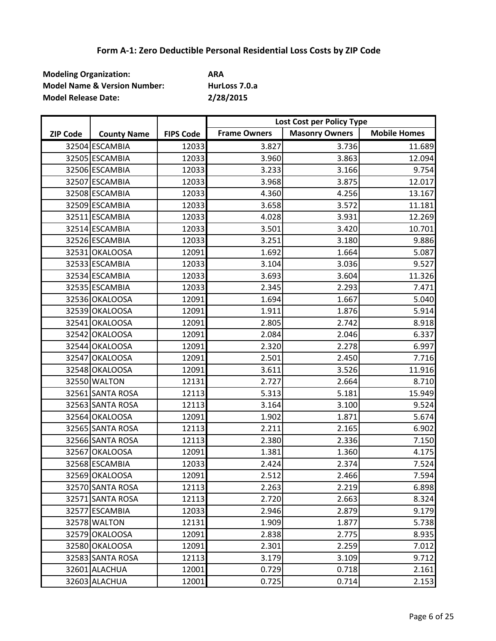| <b>Modeling Organization:</b>           | ARA           |
|-----------------------------------------|---------------|
| <b>Model Name &amp; Version Number:</b> | HurLoss 7.0.a |
| <b>Model Release Date:</b>              | 2/28/2015     |

|                 |                    |                  | Lost Cost per Policy Type |                       |                     |
|-----------------|--------------------|------------------|---------------------------|-----------------------|---------------------|
| <b>ZIP Code</b> | <b>County Name</b> | <b>FIPS Code</b> | <b>Frame Owners</b>       | <b>Masonry Owners</b> | <b>Mobile Homes</b> |
|                 | 32504 ESCAMBIA     | 12033            | 3.827                     | 3.736                 | 11.689              |
|                 | 32505 ESCAMBIA     | 12033            | 3.960                     | 3.863                 | 12.094              |
|                 | 32506 ESCAMBIA     | 12033            | 3.233                     | 3.166                 | 9.754               |
|                 | 32507 ESCAMBIA     | 12033            | 3.968                     | 3.875                 | 12.017              |
|                 | 32508 ESCAMBIA     | 12033            | 4.360                     | 4.256                 | 13.167              |
|                 | 32509 ESCAMBIA     | 12033            | 3.658                     | 3.572                 | 11.181              |
|                 | 32511 ESCAMBIA     | 12033            | 4.028                     | 3.931                 | 12.269              |
|                 | 32514 ESCAMBIA     | 12033            | 3.501                     | 3.420                 | 10.701              |
|                 | 32526 ESCAMBIA     | 12033            | 3.251                     | 3.180                 | 9.886               |
|                 | 32531 OKALOOSA     | 12091            | 1.692                     | 1.664                 | 5.087               |
|                 | 32533 ESCAMBIA     | 12033            | 3.104                     | 3.036                 | 9.527               |
|                 | 32534 ESCAMBIA     | 12033            | 3.693                     | 3.604                 | 11.326              |
|                 | 32535 ESCAMBIA     | 12033            | 2.345                     | 2.293                 | 7.471               |
|                 | 32536 OKALOOSA     | 12091            | 1.694                     | 1.667                 | 5.040               |
|                 | 32539 OKALOOSA     | 12091            | 1.911                     | 1.876                 | 5.914               |
|                 | 32541 OKALOOSA     | 12091            | 2.805                     | 2.742                 | 8.918               |
|                 | 32542 OKALOOSA     | 12091            | 2.084                     | 2.046                 | 6.337               |
|                 | 32544 OKALOOSA     | 12091            | 2.320                     | 2.278                 | 6.997               |
|                 | 32547 OKALOOSA     | 12091            | 2.501                     | 2.450                 | 7.716               |
|                 | 32548 OKALOOSA     | 12091            | 3.611                     | 3.526                 | 11.916              |
|                 | 32550 WALTON       | 12131            | 2.727                     | 2.664                 | 8.710               |
|                 | 32561 SANTA ROSA   | 12113            | 5.313                     | 5.181                 | 15.949              |
|                 | 32563 SANTA ROSA   | 12113            | 3.164                     | 3.100                 | 9.524               |
|                 | 32564 OKALOOSA     | 12091            | 1.902                     | 1.871                 | 5.674               |
|                 | 32565 SANTA ROSA   | 12113            | 2.211                     | 2.165                 | 6.902               |
|                 | 32566 SANTA ROSA   | 12113            | 2.380                     | 2.336                 | 7.150               |
|                 | 32567 OKALOOSA     | 12091            | 1.381                     | 1.360                 | 4.175               |
|                 | 32568 ESCAMBIA     | 12033            | 2.424                     | 2.374                 | 7.524               |
|                 | 32569 OKALOOSA     | 12091            | 2.512                     | 2.466                 | 7.594               |
|                 | 32570 SANTA ROSA   | 12113            | 2.263                     | 2.219                 | 6.898               |
|                 | 32571 SANTA ROSA   | 12113            | 2.720                     | 2.663                 | 8.324               |
|                 | 32577 ESCAMBIA     | 12033            | 2.946                     | 2.879                 | 9.179               |
|                 | 32578 WALTON       | 12131            | 1.909                     | 1.877                 | 5.738               |
|                 | 32579 OKALOOSA     | 12091            | 2.838                     | 2.775                 | 8.935               |
|                 | 32580 OKALOOSA     | 12091            | 2.301                     | 2.259                 | 7.012               |
|                 | 32583 SANTA ROSA   | 12113            | 3.179                     | 3.109                 | 9.712               |
|                 | 32601 ALACHUA      | 12001            | 0.729                     | 0.718                 | 2.161               |
|                 | 32603 ALACHUA      | 12001            | 0.725                     | 0.714                 | 2.153               |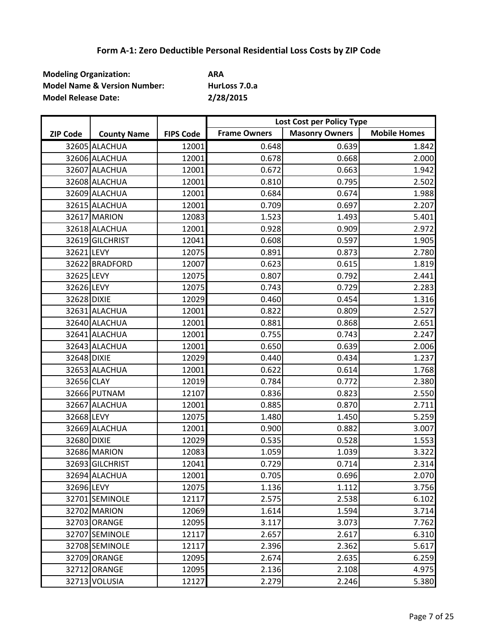| <b>Modeling Organization:</b>           | ARA           |
|-----------------------------------------|---------------|
| <b>Model Name &amp; Version Number:</b> | HurLoss 7.0.a |
| <b>Model Release Date:</b>              | 2/28/2015     |

|                 |                    |                  | Lost Cost per Policy Type |                       |                     |
|-----------------|--------------------|------------------|---------------------------|-----------------------|---------------------|
| <b>ZIP Code</b> | <b>County Name</b> | <b>FIPS Code</b> | <b>Frame Owners</b>       | <b>Masonry Owners</b> | <b>Mobile Homes</b> |
|                 | 32605 ALACHUA      | 12001            | 0.648                     | 0.639                 | 1.842               |
|                 | 32606 ALACHUA      | 12001            | 0.678                     | 0.668                 | 2.000               |
|                 | 32607 ALACHUA      | 12001            | 0.672                     | 0.663                 | 1.942               |
|                 | 32608 ALACHUA      | 12001            | 0.810                     | 0.795                 | 2.502               |
|                 | 32609 ALACHUA      | 12001            | 0.684                     | 0.674                 | 1.988               |
|                 | 32615 ALACHUA      | 12001            | 0.709                     | 0.697                 | 2.207               |
|                 | 32617 MARION       | 12083            | 1.523                     | 1.493                 | 5.401               |
|                 | 32618 ALACHUA      | 12001            | 0.928                     | 0.909                 | 2.972               |
|                 | 32619 GILCHRIST    | 12041            | 0.608                     | 0.597                 | 1.905               |
| 32621 LEVY      |                    | 12075            | 0.891                     | 0.873                 | 2.780               |
|                 | 32622 BRADFORD     | 12007            | 0.623                     | 0.615                 | 1.819               |
| 32625 LEVY      |                    | 12075            | 0.807                     | 0.792                 | 2.441               |
| 32626 LEVY      |                    | 12075            | 0.743                     | 0.729                 | 2.283               |
| 32628 DIXIE     |                    | 12029            | 0.460                     | 0.454                 | 1.316               |
|                 | 32631 ALACHUA      | 12001            | 0.822                     | 0.809                 | 2.527               |
|                 | 32640 ALACHUA      | 12001            | 0.881                     | 0.868                 | 2.651               |
|                 | 32641 ALACHUA      | 12001            | 0.755                     | 0.743                 | 2.247               |
|                 | 32643 ALACHUA      | 12001            | 0.650                     | 0.639                 | 2.006               |
| 32648 DIXIE     |                    | 12029            | 0.440                     | 0.434                 | 1.237               |
|                 | 32653 ALACHUA      | 12001            | 0.622                     | 0.614                 | 1.768               |
| 32656 CLAY      |                    | 12019            | 0.784                     | 0.772                 | 2.380               |
|                 | 32666 PUTNAM       | 12107            | 0.836                     | 0.823                 | 2.550               |
|                 | 32667 ALACHUA      | 12001            | 0.885                     | 0.870                 | 2.711               |
| 32668 LEVY      |                    | 12075            | 1.480                     | 1.450                 | 5.259               |
|                 | 32669 ALACHUA      | 12001            | 0.900                     | 0.882                 | 3.007               |
| 32680 DIXIE     |                    | 12029            | 0.535                     | 0.528                 | 1.553               |
|                 | 32686 MARION       | 12083            | 1.059                     | 1.039                 | 3.322               |
|                 | 32693 GILCHRIST    | 12041            | 0.729                     | 0.714                 | 2.314               |
|                 | 32694 ALACHUA      | 12001            | 0.705                     | 0.696                 | 2.070               |
| 32696 LEVY      |                    | 12075            | 1.136                     | 1.112                 | 3.756               |
|                 | 32701 SEMINOLE     | 12117            | 2.575                     | 2.538                 | 6.102               |
|                 | 32702 MARION       | 12069            | 1.614                     | 1.594                 | 3.714               |
|                 | 32703 ORANGE       | 12095            | 3.117                     | 3.073                 | 7.762               |
|                 | 32707 SEMINOLE     | 12117            | 2.657                     | 2.617                 | 6.310               |
|                 | 32708 SEMINOLE     | 12117            | 2.396                     | 2.362                 | 5.617               |
|                 | 32709 ORANGE       | 12095            | 2.674                     | 2.635                 | 6.259               |
|                 | 32712 ORANGE       | 12095            | 2.136                     | 2.108                 | 4.975               |
|                 | 32713 VOLUSIA      | 12127            | 2.279                     | 2.246                 | 5.380               |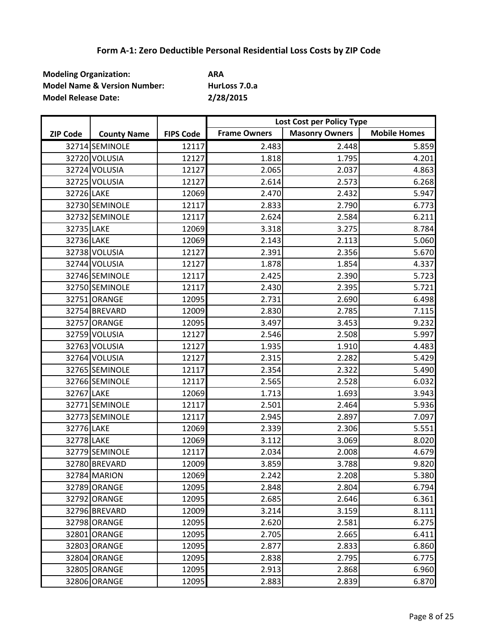| <b>Modeling Organization:</b>           | ARA           |
|-----------------------------------------|---------------|
| <b>Model Name &amp; Version Number:</b> | HurLoss 7.0.a |
| <b>Model Release Date:</b>              | 2/28/2015     |

|                 |                    |                  | Lost Cost per Policy Type |                       |                     |
|-----------------|--------------------|------------------|---------------------------|-----------------------|---------------------|
| <b>ZIP Code</b> | <b>County Name</b> | <b>FIPS Code</b> | <b>Frame Owners</b>       | <b>Masonry Owners</b> | <b>Mobile Homes</b> |
|                 | 32714 SEMINOLE     | 12117            | 2.483                     | 2.448                 | 5.859               |
|                 | 32720 VOLUSIA      | 12127            | 1.818                     | 1.795                 | 4.201               |
|                 | 32724 VOLUSIA      | 12127            | 2.065                     | 2.037                 | 4.863               |
|                 | 32725 VOLUSIA      | 12127            | 2.614                     | 2.573                 | 6.268               |
| 32726 LAKE      |                    | 12069            | 2.470                     | 2.432                 | 5.947               |
|                 | 32730 SEMINOLE     | 12117            | 2.833                     | 2.790                 | 6.773               |
|                 | 32732 SEMINOLE     | 12117            | 2.624                     | 2.584                 | 6.211               |
| 32735 LAKE      |                    | 12069            | 3.318                     | 3.275                 | 8.784               |
| 32736 LAKE      |                    | 12069            | 2.143                     | 2.113                 | 5.060               |
|                 | 32738 VOLUSIA      | 12127            | 2.391                     | 2.356                 | 5.670               |
|                 | 32744 VOLUSIA      | 12127            | 1.878                     | 1.854                 | 4.337               |
|                 | 32746 SEMINOLE     | 12117            | 2.425                     | 2.390                 | 5.723               |
|                 | 32750 SEMINOLE     | 12117            | 2.430                     | 2.395                 | 5.721               |
|                 | 32751 ORANGE       | 12095            | 2.731                     | 2.690                 | 6.498               |
|                 | 32754 BREVARD      | 12009            | 2.830                     | 2.785                 | 7.115               |
|                 | 32757 ORANGE       | 12095            | 3.497                     | 3.453                 | 9.232               |
|                 | 32759 VOLUSIA      | 12127            | 2.546                     | 2.508                 | 5.997               |
|                 | 32763 VOLUSIA      | 12127            | 1.935                     | 1.910                 | 4.483               |
|                 | 32764 VOLUSIA      | 12127            | 2.315                     | 2.282                 | 5.429               |
|                 | 32765 SEMINOLE     | 12117            | 2.354                     | 2.322                 | 5.490               |
|                 | 32766 SEMINOLE     | 12117            | 2.565                     | 2.528                 | 6.032               |
| 32767 LAKE      |                    | 12069            | 1.713                     | 1.693                 | 3.943               |
|                 | 32771 SEMINOLE     | 12117            | 2.501                     | 2.464                 | 5.936               |
|                 | 32773 SEMINOLE     | 12117            | 2.945                     | 2.897                 | 7.097               |
| 32776 LAKE      |                    | 12069            | 2.339                     | 2.306                 | 5.551               |
| 32778 LAKE      |                    | 12069            | 3.112                     | 3.069                 | 8.020               |
|                 | 32779 SEMINOLE     | 12117            | 2.034                     | 2.008                 | 4.679               |
|                 | 32780 BREVARD      | 12009            | 3.859                     | 3.788                 | 9.820               |
|                 | 32784 MARION       | 12069            | 2.242                     | 2.208                 | 5.380               |
|                 | 32789 ORANGE       | 12095            | 2.848                     | 2.804                 | 6.794               |
|                 | 32792 ORANGE       | 12095            | 2.685                     | 2.646                 | 6.361               |
|                 | 32796 BREVARD      | 12009            | 3.214                     | 3.159                 | 8.111               |
|                 | 32798 ORANGE       | 12095            | 2.620                     | 2.581                 | 6.275               |
|                 | 32801 ORANGE       | 12095            | 2.705                     | 2.665                 | 6.411               |
|                 | 32803 ORANGE       | 12095            | 2.877                     | 2.833                 | 6.860               |
|                 | 32804 ORANGE       | 12095            | 2.838                     | 2.795                 | 6.775               |
|                 | 32805 ORANGE       | 12095            | 2.913                     | 2.868                 | 6.960               |
|                 | 32806 ORANGE       | 12095            | 2.883                     | 2.839                 | 6.870               |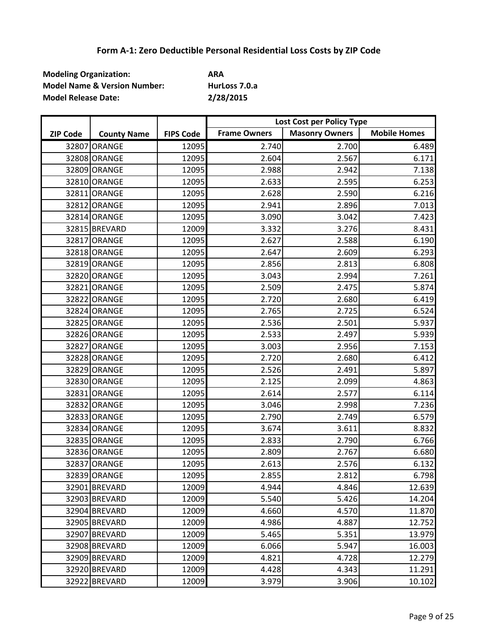| <b>Modeling Organization:</b>           | ARA           |
|-----------------------------------------|---------------|
| <b>Model Name &amp; Version Number:</b> | HurLoss 7.0.a |
| <b>Model Release Date:</b>              | 2/28/2015     |

|                 |                    |                  | Lost Cost per Policy Type |                       |                     |
|-----------------|--------------------|------------------|---------------------------|-----------------------|---------------------|
| <b>ZIP Code</b> | <b>County Name</b> | <b>FIPS Code</b> | <b>Frame Owners</b>       | <b>Masonry Owners</b> | <b>Mobile Homes</b> |
|                 | 32807 ORANGE       | 12095            | 2.740                     | 2.700                 | 6.489               |
|                 | 32808 ORANGE       | 12095            | 2.604                     | 2.567                 | 6.171               |
|                 | 32809 ORANGE       | 12095            | 2.988                     | 2.942                 | 7.138               |
|                 | 32810 ORANGE       | 12095            | 2.633                     | 2.595                 | 6.253               |
|                 | 32811 ORANGE       | 12095            | 2.628                     | 2.590                 | 6.216               |
|                 | 32812 ORANGE       | 12095            | 2.941                     | 2.896                 | 7.013               |
|                 | 32814 ORANGE       | 12095            | 3.090                     | 3.042                 | 7.423               |
|                 | 32815 BREVARD      | 12009            | 3.332                     | 3.276                 | 8.431               |
|                 | 32817 ORANGE       | 12095            | 2.627                     | 2.588                 | 6.190               |
|                 | 32818 ORANGE       | 12095            | 2.647                     | 2.609                 | 6.293               |
|                 | 32819 ORANGE       | 12095            | 2.856                     | 2.813                 | 6.808               |
|                 | 32820 ORANGE       | 12095            | 3.043                     | 2.994                 | 7.261               |
|                 | 32821 ORANGE       | 12095            | 2.509                     | 2.475                 | 5.874               |
|                 | 32822 ORANGE       | 12095            | 2.720                     | 2.680                 | 6.419               |
|                 | 32824 ORANGE       | 12095            | 2.765                     | 2.725                 | 6.524               |
|                 | 32825 ORANGE       | 12095            | 2.536                     | 2.501                 | 5.937               |
|                 | 32826 ORANGE       | 12095            | 2.533                     | 2.497                 | 5.939               |
|                 | 32827 ORANGE       | 12095            | 3.003                     | 2.956                 | 7.153               |
|                 | 32828 ORANGE       | 12095            | 2.720                     | 2.680                 | 6.412               |
|                 | 32829 ORANGE       | 12095            | 2.526                     | 2.491                 | 5.897               |
|                 | 32830 ORANGE       | 12095            | 2.125                     | 2.099                 | 4.863               |
|                 | 32831 ORANGE       | 12095            | 2.614                     | 2.577                 | 6.114               |
|                 | 32832 ORANGE       | 12095            | 3.046                     | 2.998                 | 7.236               |
|                 | 32833 ORANGE       | 12095            | 2.790                     | 2.749                 | 6.579               |
|                 | 32834 ORANGE       | 12095            | 3.674                     | 3.611                 | 8.832               |
|                 | 32835 ORANGE       | 12095            | 2.833                     | 2.790                 | 6.766               |
|                 | 32836 ORANGE       | 12095            | 2.809                     | 2.767                 | 6.680               |
|                 | 32837 ORANGE       | 12095            | 2.613                     | 2.576                 | 6.132               |
|                 | 32839 ORANGE       | 12095            | 2.855                     | 2.812                 | 6.798               |
|                 | 32901 BREVARD      | 12009            | 4.944                     | 4.846                 | 12.639              |
|                 | 32903 BREVARD      | 12009            | 5.540                     | 5.426                 | 14.204              |
|                 | 32904 BREVARD      | 12009            | 4.660                     | 4.570                 | 11.870              |
|                 | 32905 BREVARD      | 12009            | 4.986                     | 4.887                 | 12.752              |
|                 | 32907 BREVARD      | 12009            | 5.465                     | 5.351                 | 13.979              |
|                 | 32908 BREVARD      | 12009            | 6.066                     | 5.947                 | 16.003              |
|                 | 32909 BREVARD      | 12009            | 4.821                     | 4.728                 | 12.279              |
|                 | 32920 BREVARD      | 12009            | 4.428                     | 4.343                 | 11.291              |
|                 | 32922 BREVARD      | 12009            | 3.979                     | 3.906                 | 10.102              |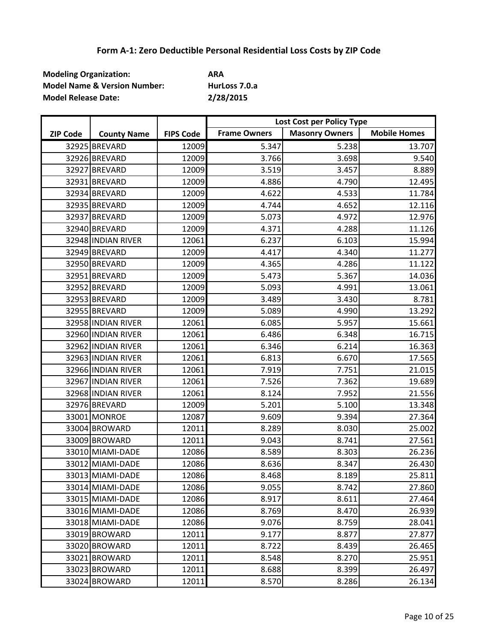| <b>Modeling Organization:</b>           | ARA           |
|-----------------------------------------|---------------|
| <b>Model Name &amp; Version Number:</b> | HurLoss 7.0.a |
| <b>Model Release Date:</b>              | 2/28/2015     |

|                 |                    |                  | Lost Cost per Policy Type |                       |                     |
|-----------------|--------------------|------------------|---------------------------|-----------------------|---------------------|
| <b>ZIP Code</b> | <b>County Name</b> | <b>FIPS Code</b> | <b>Frame Owners</b>       | <b>Masonry Owners</b> | <b>Mobile Homes</b> |
|                 | 32925 BREVARD      | 12009            | 5.347                     | 5.238                 | 13.707              |
|                 | 32926 BREVARD      | 12009            | 3.766                     | 3.698                 | 9.540               |
|                 | 32927 BREVARD      | 12009            | 3.519                     | 3.457                 | 8.889               |
|                 | 32931 BREVARD      | 12009            | 4.886                     | 4.790                 | 12.495              |
|                 | 32934 BREVARD      | 12009            | 4.622                     | 4.533                 | 11.784              |
|                 | 32935 BREVARD      | 12009            | 4.744                     | 4.652                 | 12.116              |
|                 | 32937 BREVARD      | 12009            | 5.073                     | 4.972                 | 12.976              |
|                 | 32940 BREVARD      | 12009            | 4.371                     | 4.288                 | 11.126              |
|                 | 32948 INDIAN RIVER | 12061            | 6.237                     | 6.103                 | 15.994              |
|                 | 32949 BREVARD      | 12009            | 4.417                     | 4.340                 | 11.277              |
|                 | 32950 BREVARD      | 12009            | 4.365                     | 4.286                 | 11.122              |
|                 | 32951 BREVARD      | 12009            | 5.473                     | 5.367                 | 14.036              |
|                 | 32952 BREVARD      | 12009            | 5.093                     | 4.991                 | 13.061              |
|                 | 32953 BREVARD      | 12009            | 3.489                     | 3.430                 | 8.781               |
|                 | 32955 BREVARD      | 12009            | 5.089                     | 4.990                 | 13.292              |
|                 | 32958 INDIAN RIVER | 12061            | 6.085                     | 5.957                 | 15.661              |
|                 | 32960 INDIAN RIVER | 12061            | 6.486                     | 6.348                 | 16.715              |
|                 | 32962 INDIAN RIVER | 12061            | 6.346                     | 6.214                 | 16.363              |
|                 | 32963 INDIAN RIVER | 12061            | 6.813                     | 6.670                 | 17.565              |
|                 | 32966 INDIAN RIVER | 12061            | 7.919                     | 7.751                 | 21.015              |
|                 | 32967 INDIAN RIVER | 12061            | 7.526                     | 7.362                 | 19.689              |
|                 | 32968 INDIAN RIVER | 12061            | 8.124                     | 7.952                 | 21.556              |
|                 | 32976 BREVARD      | 12009            | 5.201                     | 5.100                 | 13.348              |
|                 | 33001 MONROE       | 12087            | 9.609                     | 9.394                 | 27.364              |
|                 | 33004 BROWARD      | 12011            | 8.289                     | 8.030                 | 25.002              |
|                 | 33009 BROWARD      | 12011            | 9.043                     | 8.741                 | 27.561              |
|                 | 33010 MIAMI-DADE   | 12086            | 8.589                     | 8.303                 | 26.236              |
|                 | 33012 MIAMI-DADE   | 12086            | 8.636                     | 8.347                 | 26.430              |
|                 | 33013 MIAMI-DADE   | 12086            | 8.468                     | 8.189                 | 25.811              |
|                 | 33014 MIAMI-DADE   | 12086            | 9.055                     | 8.742                 | 27.860              |
|                 | 33015 MIAMI-DADE   | 12086            | 8.917                     | 8.611                 | 27.464              |
|                 | 33016 MIAMI-DADE   | 12086            | 8.769                     | 8.470                 | 26.939              |
|                 | 33018 MIAMI-DADE   | 12086            | 9.076                     | 8.759                 | 28.041              |
|                 | 33019 BROWARD      | 12011            | 9.177                     | 8.877                 | 27.877              |
|                 | 33020 BROWARD      | 12011            | 8.722                     | 8.439                 | 26.465              |
|                 | 33021 BROWARD      | 12011            | 8.548                     | 8.270                 | 25.951              |
|                 | 33023 BROWARD      | 12011            | 8.688                     | 8.399                 | 26.497              |
|                 | 33024 BROWARD      | 12011            | 8.570                     | 8.286                 | 26.134              |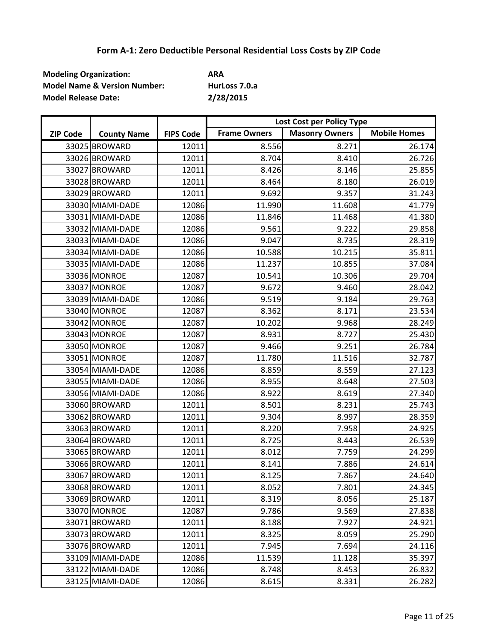| <b>Modeling Organization:</b>           | ARA           |
|-----------------------------------------|---------------|
| <b>Model Name &amp; Version Number:</b> | HurLoss 7.0.a |
| <b>Model Release Date:</b>              | 2/28/2015     |

|                 |                    |                  | Lost Cost per Policy Type |                       |                     |
|-----------------|--------------------|------------------|---------------------------|-----------------------|---------------------|
| <b>ZIP Code</b> | <b>County Name</b> | <b>FIPS Code</b> | <b>Frame Owners</b>       | <b>Masonry Owners</b> | <b>Mobile Homes</b> |
|                 | 33025 BROWARD      | 12011            | 8.556                     | 8.271                 | 26.174              |
|                 | 33026 BROWARD      | 12011            | 8.704                     | 8.410                 | 26.726              |
|                 | 33027 BROWARD      | 12011            | 8.426                     | 8.146                 | 25.855              |
|                 | 33028 BROWARD      | 12011            | 8.464                     | 8.180                 | 26.019              |
|                 | 33029 BROWARD      | 12011            | 9.692                     | 9.357                 | 31.243              |
|                 | 33030 MIAMI-DADE   | 12086            | 11.990                    | 11.608                | 41.779              |
|                 | 33031 MIAMI-DADE   | 12086            | 11.846                    | 11.468                | 41.380              |
|                 | 33032 MIAMI-DADE   | 12086            | 9.561                     | 9.222                 | 29.858              |
|                 | 33033 MIAMI-DADE   | 12086            | 9.047                     | 8.735                 | 28.319              |
|                 | 33034 MIAMI-DADE   | 12086            | 10.588                    | 10.215                | 35.811              |
|                 | 33035 MIAMI-DADE   | 12086            | 11.237                    | 10.855                | 37.084              |
|                 | 33036 MONROE       | 12087            | 10.541                    | 10.306                | 29.704              |
|                 | 33037 MONROE       | 12087            | 9.672                     | 9.460                 | 28.042              |
|                 | 33039 MIAMI-DADE   | 12086            | 9.519                     | 9.184                 | 29.763              |
|                 | 33040 MONROE       | 12087            | 8.362                     | 8.171                 | 23.534              |
|                 | 33042 MONROE       | 12087            | 10.202                    | 9.968                 | 28.249              |
|                 | 33043 MONROE       | 12087            | 8.931                     | 8.727                 | 25.430              |
|                 | 33050 MONROE       | 12087            | 9.466                     | 9.251                 | 26.784              |
|                 | 33051 MONROE       | 12087            | 11.780                    | 11.516                | 32.787              |
|                 | 33054 MIAMI-DADE   | 12086            | 8.859                     | 8.559                 | 27.123              |
|                 | 33055 MIAMI-DADE   | 12086            | 8.955                     | 8.648                 | 27.503              |
|                 | 33056 MIAMI-DADE   | 12086            | 8.922                     | 8.619                 | 27.340              |
|                 | 33060 BROWARD      | 12011            | 8.501                     | 8.231                 | 25.743              |
|                 | 33062 BROWARD      | 12011            | 9.304                     | 8.997                 | 28.359              |
|                 | 33063 BROWARD      | 12011            | 8.220                     | 7.958                 | 24.925              |
|                 | 33064 BROWARD      | 12011            | 8.725                     | 8.443                 | 26.539              |
|                 | 33065 BROWARD      | 12011            | 8.012                     | 7.759                 | 24.299              |
|                 | 33066 BROWARD      | 12011            | 8.141                     | 7.886                 | 24.614              |
|                 | 33067 BROWARD      | 12011            | 8.125                     | 7.867                 | 24.640              |
|                 | 33068 BROWARD      | 12011            | 8.052                     | 7.801                 | 24.345              |
|                 | 33069 BROWARD      | 12011            | 8.319                     | 8.056                 | 25.187              |
|                 | 33070 MONROE       | 12087            | 9.786                     | 9.569                 | 27.838              |
|                 | 33071 BROWARD      | 12011            | 8.188                     | 7.927                 | 24.921              |
|                 | 33073 BROWARD      | 12011            | 8.325                     | 8.059                 | 25.290              |
|                 | 33076 BROWARD      | 12011            | 7.945                     | 7.694                 | 24.116              |
|                 | 33109 MIAMI-DADE   | 12086            | 11.539                    | 11.128                | 35.397              |
|                 | 33122 MIAMI-DADE   | 12086            | 8.748                     | 8.453                 | 26.832              |
|                 | 33125 MIAMI-DADE   | 12086            | 8.615                     | 8.331                 | 26.282              |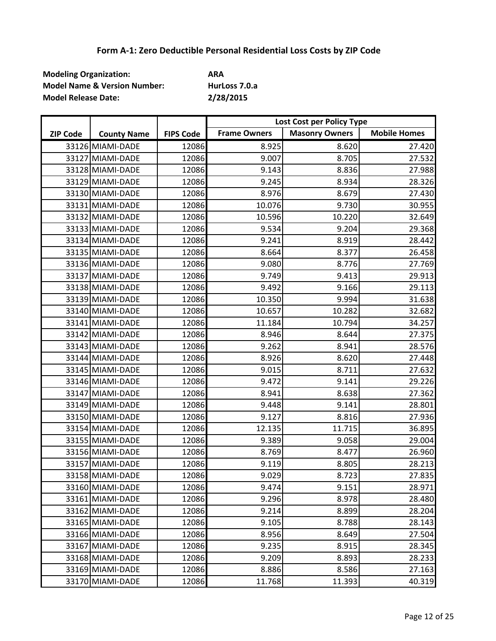| <b>Modeling Organization:</b>           | ARA           |
|-----------------------------------------|---------------|
| <b>Model Name &amp; Version Number:</b> | HurLoss 7.0.a |
| <b>Model Release Date:</b>              | 2/28/2015     |

|                 |                    |                  | Lost Cost per Policy Type |                       |                     |
|-----------------|--------------------|------------------|---------------------------|-----------------------|---------------------|
| <b>ZIP Code</b> | <b>County Name</b> | <b>FIPS Code</b> | <b>Frame Owners</b>       | <b>Masonry Owners</b> | <b>Mobile Homes</b> |
|                 | 33126 MIAMI-DADE   | 12086            | 8.925                     | 8.620                 | 27.420              |
|                 | 33127 MIAMI-DADE   | 12086            | 9.007                     | 8.705                 | 27.532              |
|                 | 33128 MIAMI-DADE   | 12086            | 9.143                     | 8.836                 | 27.988              |
|                 | 33129 MIAMI-DADE   | 12086            | 9.245                     | 8.934                 | 28.326              |
|                 | 33130 MIAMI-DADE   | 12086            | 8.976                     | 8.679                 | 27.430              |
|                 | 33131 MIAMI-DADE   | 12086            | 10.076                    | 9.730                 | 30.955              |
|                 | 33132 MIAMI-DADE   | 12086            | 10.596                    | 10.220                | 32.649              |
|                 | 33133 MIAMI-DADE   | 12086            | 9.534                     | 9.204                 | 29.368              |
|                 | 33134 MIAMI-DADE   | 12086            | 9.241                     | 8.919                 | 28.442              |
|                 | 33135 MIAMI-DADE   | 12086            | 8.664                     | 8.377                 | 26.458              |
|                 | 33136 MIAMI-DADE   | 12086            | 9.080                     | 8.776                 | 27.769              |
|                 | 33137 MIAMI-DADE   | 12086            | 9.749                     | 9.413                 | 29.913              |
|                 | 33138 MIAMI-DADE   | 12086            | 9.492                     | 9.166                 | 29.113              |
|                 | 33139 MIAMI-DADE   | 12086            | 10.350                    | 9.994                 | 31.638              |
|                 | 33140 MIAMI-DADE   | 12086            | 10.657                    | 10.282                | 32.682              |
|                 | 33141 MIAMI-DADE   | 12086            | 11.184                    | 10.794                | 34.257              |
|                 | 33142 MIAMI-DADE   | 12086            | 8.946                     | 8.644                 | 27.375              |
|                 | 33143 MIAMI-DADE   | 12086            | 9.262                     | 8.941                 | 28.576              |
|                 | 33144 MIAMI-DADE   | 12086            | 8.926                     | 8.620                 | 27.448              |
|                 | 33145 MIAMI-DADE   | 12086            | 9.015                     | 8.711                 | 27.632              |
|                 | 33146 MIAMI-DADE   | 12086            | 9.472                     | 9.141                 | 29.226              |
|                 | 33147 MIAMI-DADE   | 12086            | 8.941                     | 8.638                 | 27.362              |
|                 | 33149 MIAMI-DADE   | 12086            | 9.448                     | 9.141                 | 28.801              |
|                 | 33150 MIAMI-DADE   | 12086            | 9.127                     | 8.816                 | 27.936              |
|                 | 33154 MIAMI-DADE   | 12086            | 12.135                    | 11.715                | 36.895              |
|                 | 33155 MIAMI-DADE   | 12086            | 9.389                     | 9.058                 | 29.004              |
|                 | 33156 MIAMI-DADE   | 12086            | 8.769                     | 8.477                 | 26.960              |
|                 | 33157 MIAMI-DADE   | 12086            | 9.119                     | 8.805                 | 28.213              |
|                 | 33158 MIAMI-DADE   | 12086            | 9.029                     | 8.723                 | 27.835              |
|                 | 33160 MIAMI-DADE   | 12086            | 9.474                     | 9.151                 | 28.971              |
|                 | 33161 MIAMI-DADE   | 12086            | 9.296                     | 8.978                 | 28.480              |
|                 | 33162 MIAMI-DADE   | 12086            | 9.214                     | 8.899                 | 28.204              |
|                 | 33165 MIAMI-DADE   | 12086            | 9.105                     | 8.788                 | 28.143              |
|                 | 33166 MIAMI-DADE   | 12086            | 8.956                     | 8.649                 | 27.504              |
|                 | 33167 MIAMI-DADE   | 12086            | 9.235                     | 8.915                 | 28.345              |
|                 | 33168 MIAMI-DADE   | 12086            | 9.209                     | 8.893                 | 28.233              |
|                 | 33169 MIAMI-DADE   | 12086            | 8.886                     | 8.586                 | 27.163              |
|                 | 33170 MIAMI-DADE   | 12086            | 11.768                    | 11.393                | 40.319              |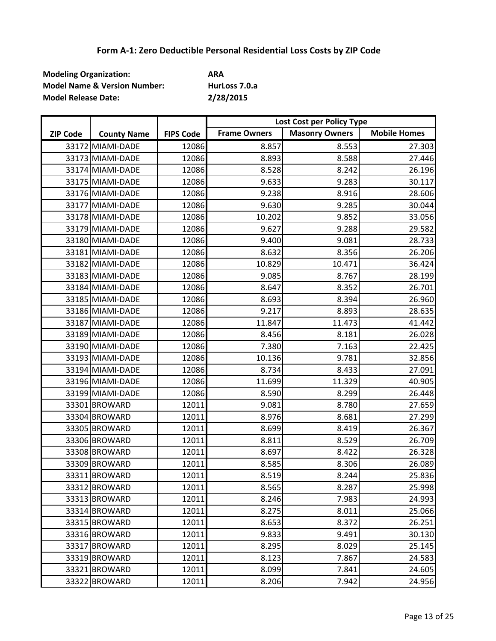| <b>Modeling Organization:</b>           | ARA           |
|-----------------------------------------|---------------|
| <b>Model Name &amp; Version Number:</b> | HurLoss 7.0.a |
| <b>Model Release Date:</b>              | 2/28/2015     |

|                 |                    |                  | Lost Cost per Policy Type |                       |                     |
|-----------------|--------------------|------------------|---------------------------|-----------------------|---------------------|
| <b>ZIP Code</b> | <b>County Name</b> | <b>FIPS Code</b> | <b>Frame Owners</b>       | <b>Masonry Owners</b> | <b>Mobile Homes</b> |
|                 | 33172 MIAMI-DADE   | 12086            | 8.857                     | 8.553                 | 27.303              |
|                 | 33173 MIAMI-DADE   | 12086            | 8.893                     | 8.588                 | 27.446              |
|                 | 33174 MIAMI-DADE   | 12086            | 8.528                     | 8.242                 | 26.196              |
|                 | 33175 MIAMI-DADE   | 12086            | 9.633                     | 9.283                 | 30.117              |
|                 | 33176 MIAMI-DADE   | 12086            | 9.238                     | 8.916                 | 28.606              |
|                 | 33177 MIAMI-DADE   | 12086            | 9.630                     | 9.285                 | 30.044              |
|                 | 33178 MIAMI-DADE   | 12086            | 10.202                    | 9.852                 | 33.056              |
|                 | 33179 MIAMI-DADE   | 12086            | 9.627                     | 9.288                 | 29.582              |
|                 | 33180 MIAMI-DADE   | 12086            | 9.400                     | 9.081                 | 28.733              |
|                 | 33181 MIAMI-DADE   | 12086            | 8.632                     | 8.356                 | 26.206              |
|                 | 33182 MIAMI-DADE   | 12086            | 10.829                    | 10.471                | 36.424              |
|                 | 33183 MIAMI-DADE   | 12086            | 9.085                     | 8.767                 | 28.199              |
|                 | 33184 MIAMI-DADE   | 12086            | 8.647                     | 8.352                 | 26.701              |
|                 | 33185 MIAMI-DADE   | 12086            | 8.693                     | 8.394                 | 26.960              |
|                 | 33186 MIAMI-DADE   | 12086            | 9.217                     | 8.893                 | 28.635              |
|                 | 33187 MIAMI-DADE   | 12086            | 11.847                    | 11.473                | 41.442              |
|                 | 33189 MIAMI-DADE   | 12086            | 8.456                     | 8.181                 | 26.028              |
|                 | 33190 MIAMI-DADE   | 12086            | 7.380                     | 7.163                 | 22.425              |
|                 | 33193 MIAMI-DADE   | 12086            | 10.136                    | 9.781                 | 32.856              |
|                 | 33194 MIAMI-DADE   | 12086            | 8.734                     | 8.433                 | 27.091              |
|                 | 33196 MIAMI-DADE   | 12086            | 11.699                    | 11.329                | 40.905              |
|                 | 33199 MIAMI-DADE   | 12086            | 8.590                     | 8.299                 | 26.448              |
|                 | 33301 BROWARD      | 12011            | 9.081                     | 8.780                 | 27.659              |
|                 | 33304 BROWARD      | 12011            | 8.976                     | 8.681                 | 27.299              |
|                 | 33305 BROWARD      | 12011            | 8.699                     | 8.419                 | 26.367              |
|                 | 33306 BROWARD      | 12011            | 8.811                     | 8.529                 | 26.709              |
|                 | 33308 BROWARD      | 12011            | 8.697                     | 8.422                 | 26.328              |
|                 | 33309 BROWARD      | 12011            | 8.585                     | 8.306                 | 26.089              |
|                 | 33311 BROWARD      | 12011            | 8.519                     | 8.244                 | 25.836              |
|                 | 33312 BROWARD      | 12011            | 8.565                     | 8.287                 | 25.998              |
|                 | 33313 BROWARD      | 12011            | 8.246                     | 7.983                 | 24.993              |
|                 | 33314 BROWARD      | 12011            | 8.275                     | 8.011                 | 25.066              |
|                 | 33315 BROWARD      | 12011            | 8.653                     | 8.372                 | 26.251              |
|                 | 33316 BROWARD      | 12011            | 9.833                     | 9.491                 | 30.130              |
|                 | 33317 BROWARD      | 12011            | 8.295                     | 8.029                 | 25.145              |
|                 | 33319 BROWARD      | 12011            | 8.123                     | 7.867                 | 24.583              |
|                 | 33321 BROWARD      | 12011            | 8.099                     | 7.841                 | 24.605              |
|                 | 33322 BROWARD      | 12011            | 8.206                     | 7.942                 | 24.956              |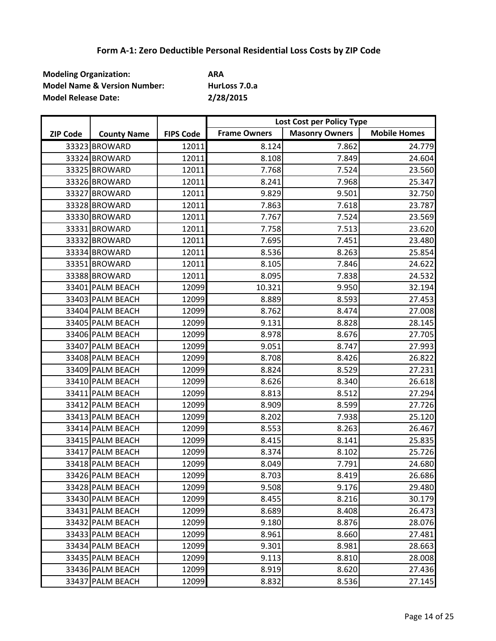| <b>Modeling Organization:</b>           | ARA           |
|-----------------------------------------|---------------|
| <b>Model Name &amp; Version Number:</b> | HurLoss 7.0.a |
| <b>Model Release Date:</b>              | 2/28/2015     |

|                 |                    |                  | Lost Cost per Policy Type |                       |                     |
|-----------------|--------------------|------------------|---------------------------|-----------------------|---------------------|
| <b>ZIP Code</b> | <b>County Name</b> | <b>FIPS Code</b> | <b>Frame Owners</b>       | <b>Masonry Owners</b> | <b>Mobile Homes</b> |
|                 | 33323 BROWARD      | 12011            | 8.124                     | 7.862                 | 24.779              |
|                 | 33324 BROWARD      | 12011            | 8.108                     | 7.849                 | 24.604              |
|                 | 33325 BROWARD      | 12011            | 7.768                     | 7.524                 | 23.560              |
|                 | 33326 BROWARD      | 12011            | 8.241                     | 7.968                 | 25.347              |
|                 | 33327 BROWARD      | 12011            | 9.829                     | 9.501                 | 32.750              |
|                 | 33328 BROWARD      | 12011            | 7.863                     | 7.618                 | 23.787              |
|                 | 33330 BROWARD      | 12011            | 7.767                     | 7.524                 | 23.569              |
|                 | 33331 BROWARD      | 12011            | 7.758                     | 7.513                 | 23.620              |
|                 | 33332 BROWARD      | 12011            | 7.695                     | 7.451                 | 23.480              |
|                 | 33334 BROWARD      | 12011            | 8.536                     | 8.263                 | 25.854              |
|                 | 33351 BROWARD      | 12011            | 8.105                     | 7.846                 | 24.622              |
|                 | 33388 BROWARD      | 12011            | 8.095                     | 7.838                 | 24.532              |
|                 | 33401 PALM BEACH   | 12099            | 10.321                    | 9.950                 | 32.194              |
|                 | 33403 PALM BEACH   | 12099            | 8.889                     | 8.593                 | 27.453              |
|                 | 33404 PALM BEACH   | 12099            | 8.762                     | 8.474                 | 27.008              |
|                 | 33405 PALM BEACH   | 12099            | 9.131                     | 8.828                 | 28.145              |
|                 | 33406 PALM BEACH   | 12099            | 8.978                     | 8.676                 | 27.705              |
|                 | 33407 PALM BEACH   | 12099            | 9.051                     | 8.747                 | 27.993              |
|                 | 33408 PALM BEACH   | 12099            | 8.708                     | 8.426                 | 26.822              |
|                 | 33409 PALM BEACH   | 12099            | 8.824                     | 8.529                 | 27.231              |
|                 | 33410 PALM BEACH   | 12099            | 8.626                     | 8.340                 | 26.618              |
|                 | 33411 PALM BEACH   | 12099            | 8.813                     | 8.512                 | 27.294              |
|                 | 33412 PALM BEACH   | 12099            | 8.909                     | 8.599                 | 27.726              |
|                 | 33413 PALM BEACH   | 12099            | 8.202                     | 7.938                 | 25.120              |
|                 | 33414 PALM BEACH   | 12099            | 8.553                     | 8.263                 | 26.467              |
|                 | 33415 PALM BEACH   | 12099            | 8.415                     | 8.141                 | 25.835              |
|                 | 33417 PALM BEACH   | 12099            | 8.374                     | 8.102                 | 25.726              |
|                 | 33418 PALM BEACH   | 12099            | 8.049                     | 7.791                 | 24.680              |
|                 | 33426 PALM BEACH   | 12099            | 8.703                     | 8.419                 | 26.686              |
|                 | 33428 PALM BEACH   | 12099            | 9.508                     | 9.176                 | 29.480              |
|                 | 33430 PALM BEACH   | 12099            | 8.455                     | 8.216                 | 30.179              |
|                 | 33431 PALM BEACH   | 12099            | 8.689                     | 8.408                 | 26.473              |
|                 | 33432 PALM BEACH   | 12099            | 9.180                     | 8.876                 | 28.076              |
|                 | 33433 PALM BEACH   | 12099            | 8.961                     | 8.660                 | 27.481              |
|                 | 33434 PALM BEACH   | 12099            | 9.301                     | 8.981                 | 28.663              |
|                 | 33435 PALM BEACH   | 12099            | 9.113                     | 8.810                 | 28.008              |
|                 | 33436 PALM BEACH   | 12099            | 8.919                     | 8.620                 | 27.436              |
|                 | 33437 PALM BEACH   | 12099            | 8.832                     | 8.536                 | 27.145              |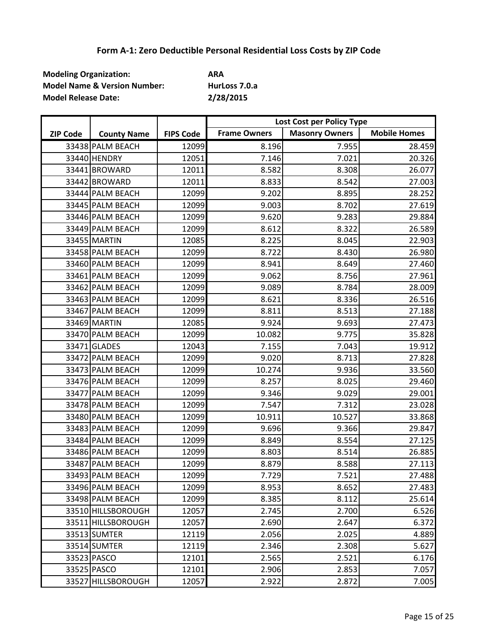| <b>Modeling Organization:</b>           | ARA           |
|-----------------------------------------|---------------|
| <b>Model Name &amp; Version Number:</b> | HurLoss 7.0.a |
| <b>Model Release Date:</b>              | 2/28/2015     |

|                 |                    |                  | Lost Cost per Policy Type |                       |                     |
|-----------------|--------------------|------------------|---------------------------|-----------------------|---------------------|
| <b>ZIP Code</b> | <b>County Name</b> | <b>FIPS Code</b> | <b>Frame Owners</b>       | <b>Masonry Owners</b> | <b>Mobile Homes</b> |
|                 | 33438 PALM BEACH   | 12099            | 8.196                     | 7.955                 | 28.459              |
|                 | 33440 HENDRY       | 12051            | 7.146                     | 7.021                 | 20.326              |
|                 | 33441 BROWARD      | 12011            | 8.582                     | 8.308                 | 26.077              |
|                 | 33442 BROWARD      | 12011            | 8.833                     | 8.542                 | 27.003              |
|                 | 33444 PALM BEACH   | 12099            | 9.202                     | 8.895                 | 28.252              |
|                 | 33445 PALM BEACH   | 12099            | 9.003                     | 8.702                 | 27.619              |
|                 | 33446 PALM BEACH   | 12099            | 9.620                     | 9.283                 | 29.884              |
|                 | 33449 PALM BEACH   | 12099            | 8.612                     | 8.322                 | 26.589              |
|                 | 33455 MARTIN       | 12085            | 8.225                     | 8.045                 | 22.903              |
|                 | 33458 PALM BEACH   | 12099            | 8.722                     | 8.430                 | 26.980              |
|                 | 33460 PALM BEACH   | 12099            | 8.941                     | 8.649                 | 27.460              |
|                 | 33461 PALM BEACH   | 12099            | 9.062                     | 8.756                 | 27.961              |
|                 | 33462 PALM BEACH   | 12099            | 9.089                     | 8.784                 | 28.009              |
|                 | 33463 PALM BEACH   | 12099            | 8.621                     | 8.336                 | 26.516              |
|                 | 33467 PALM BEACH   | 12099            | 8.811                     | 8.513                 | 27.188              |
|                 | 33469 MARTIN       | 12085            | 9.924                     | 9.693                 | 27.473              |
|                 | 33470 PALM BEACH   | 12099            | 10.082                    | 9.775                 | 35.828              |
|                 | 33471 GLADES       | 12043            | 7.155                     | 7.043                 | 19.912              |
|                 | 33472 PALM BEACH   | 12099            | 9.020                     | 8.713                 | 27.828              |
|                 | 33473 PALM BEACH   | 12099            | 10.274                    | 9.936                 | 33.560              |
|                 | 33476 PALM BEACH   | 12099            | 8.257                     | 8.025                 | 29.460              |
|                 | 33477 PALM BEACH   | 12099            | 9.346                     | 9.029                 | 29.001              |
|                 | 33478 PALM BEACH   | 12099            | 7.547                     | 7.312                 | 23.028              |
|                 | 33480 PALM BEACH   | 12099            | 10.911                    | 10.527                | 33.868              |
|                 | 33483 PALM BEACH   | 12099            | 9.696                     | 9.366                 | 29.847              |
|                 | 33484 PALM BEACH   | 12099            | 8.849                     | 8.554                 | 27.125              |
|                 | 33486 PALM BEACH   | 12099            | 8.803                     | 8.514                 | 26.885              |
|                 | 33487 PALM BEACH   | 12099            | 8.879                     | 8.588                 | 27.113              |
|                 | 33493 PALM BEACH   | 12099            | 7.729                     | 7.521                 | 27.488              |
|                 | 33496 PALM BEACH   | 12099            | 8.953                     | 8.652                 | 27.483              |
|                 | 33498 PALM BEACH   | 12099            | 8.385                     | 8.112                 | 25.614              |
|                 | 33510 HILLSBOROUGH | 12057            | 2.745                     | 2.700                 | 6.526               |
|                 | 33511 HILLSBOROUGH | 12057            | 2.690                     | 2.647                 | 6.372               |
|                 | 33513 SUMTER       | 12119            | 2.056                     | 2.025                 | 4.889               |
|                 | 33514 SUMTER       | 12119            | 2.346                     | 2.308                 | 5.627               |
|                 | 33523 PASCO        | 12101            | 2.565                     | 2.521                 | 6.176               |
|                 | 33525 PASCO        | 12101            | 2.906                     | 2.853                 | 7.057               |
|                 | 33527 HILLSBOROUGH | 12057            | 2.922                     | 2.872                 | 7.005               |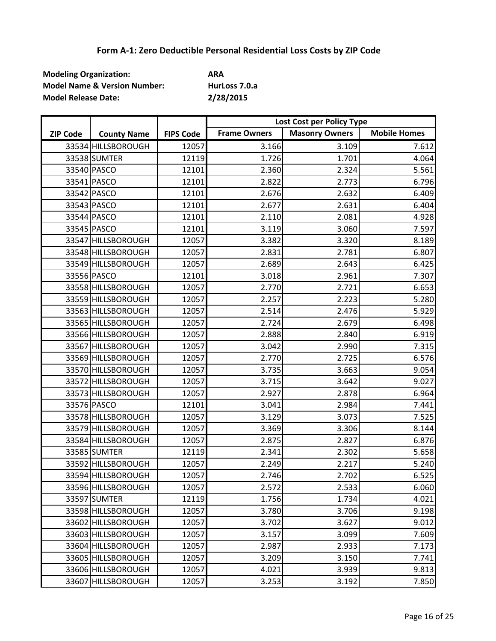| <b>Modeling Organization:</b>           | ARA           |
|-----------------------------------------|---------------|
| <b>Model Name &amp; Version Number:</b> | HurLoss 7.0.a |
| <b>Model Release Date:</b>              | 2/28/2015     |

|                 |                    |                  | Lost Cost per Policy Type |                       |                     |
|-----------------|--------------------|------------------|---------------------------|-----------------------|---------------------|
| <b>ZIP Code</b> | <b>County Name</b> | <b>FIPS Code</b> | <b>Frame Owners</b>       | <b>Masonry Owners</b> | <b>Mobile Homes</b> |
|                 | 33534 HILLSBOROUGH | 12057            | 3.166                     | 3.109                 | 7.612               |
|                 | 33538 SUMTER       | 12119            | 1.726                     | 1.701                 | 4.064               |
|                 | 33540 PASCO        | 12101            | 2.360                     | 2.324                 | 5.561               |
|                 | 33541 PASCO        | 12101            | 2.822                     | 2.773                 | 6.796               |
|                 | 33542 PASCO        | 12101            | 2.676                     | 2.632                 | 6.409               |
|                 | 33543 PASCO        | 12101            | 2.677                     | 2.631                 | 6.404               |
|                 | 33544 PASCO        | 12101            | 2.110                     | 2.081                 | 4.928               |
|                 | 33545 PASCO        | 12101            | 3.119                     | 3.060                 | 7.597               |
|                 | 33547 HILLSBOROUGH | 12057            | 3.382                     | 3.320                 | 8.189               |
|                 | 33548 HILLSBOROUGH | 12057            | 2.831                     | 2.781                 | 6.807               |
|                 | 33549 HILLSBOROUGH | 12057            | 2.689                     | 2.643                 | 6.425               |
|                 | 33556 PASCO        | 12101            | 3.018                     | 2.961                 | 7.307               |
|                 | 33558 HILLSBOROUGH | 12057            | 2.770                     | 2.721                 | 6.653               |
|                 | 33559 HILLSBOROUGH | 12057            | 2.257                     | 2.223                 | 5.280               |
|                 | 33563 HILLSBOROUGH | 12057            | 2.514                     | 2.476                 | 5.929               |
|                 | 33565 HILLSBOROUGH | 12057            | 2.724                     | 2.679                 | 6.498               |
|                 | 33566 HILLSBOROUGH | 12057            | 2.888                     | 2.840                 | 6.919               |
|                 | 33567 HILLSBOROUGH | 12057            | 3.042                     | 2.990                 | 7.315               |
|                 | 33569 HILLSBOROUGH | 12057            | 2.770                     | 2.725                 | 6.576               |
|                 | 33570 HILLSBOROUGH | 12057            | 3.735                     | 3.663                 | 9.054               |
|                 | 33572 HILLSBOROUGH | 12057            | 3.715                     | 3.642                 | 9.027               |
|                 | 33573 HILLSBOROUGH | 12057            | 2.927                     | 2.878                 | 6.964               |
|                 | 33576 PASCO        | 12101            | 3.041                     | 2.984                 | 7.441               |
|                 | 33578 HILLSBOROUGH | 12057            | 3.129                     | 3.073                 | 7.525               |
|                 | 33579 HILLSBOROUGH | 12057            | 3.369                     | 3.306                 | 8.144               |
|                 | 33584 HILLSBOROUGH | 12057            | 2.875                     | 2.827                 | 6.876               |
|                 | 33585 SUMTER       | 12119            | 2.341                     | 2.302                 | 5.658               |
|                 | 33592 HILLSBOROUGH | 12057            | 2.249                     | 2.217                 | 5.240               |
|                 | 33594 HILLSBOROUGH | 12057            | 2.746                     | 2.702                 | 6.525               |
|                 | 33596 HILLSBOROUGH | 12057            | 2.572                     | 2.533                 | 6.060               |
|                 | 33597 SUMTER       | 12119            | 1.756                     | 1.734                 | 4.021               |
|                 | 33598 HILLSBOROUGH | 12057            | 3.780                     | 3.706                 | 9.198               |
|                 | 33602 HILLSBOROUGH | 12057            | 3.702                     | 3.627                 | 9.012               |
|                 | 33603 HILLSBOROUGH | 12057            | 3.157                     | 3.099                 | 7.609               |
|                 | 33604 HILLSBOROUGH | 12057            | 2.987                     | 2.933                 | 7.173               |
|                 | 33605 HILLSBOROUGH | 12057            | 3.209                     | 3.150                 | 7.741               |
|                 | 33606 HILLSBOROUGH | 12057            | 4.021                     | 3.939                 | 9.813               |
|                 | 33607 HILLSBOROUGH | 12057            | 3.253                     | 3.192                 | 7.850               |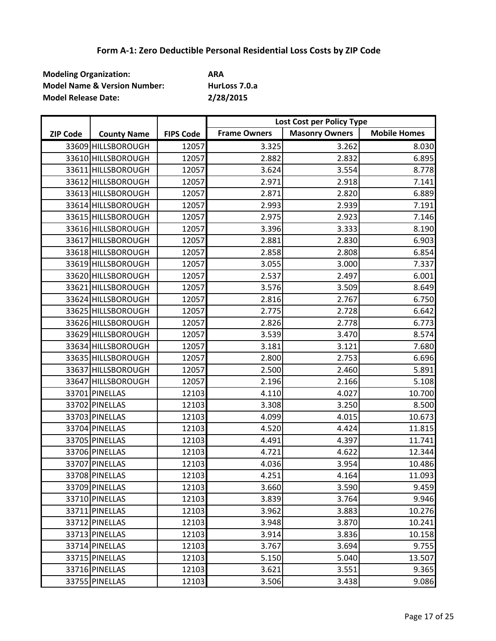| <b>Modeling Organization:</b>           | ARA           |
|-----------------------------------------|---------------|
| <b>Model Name &amp; Version Number:</b> | HurLoss 7.0.a |
| <b>Model Release Date:</b>              | 2/28/2015     |

|                 |                    |                  | Lost Cost per Policy Type |                       |                     |
|-----------------|--------------------|------------------|---------------------------|-----------------------|---------------------|
| <b>ZIP Code</b> | <b>County Name</b> | <b>FIPS Code</b> | <b>Frame Owners</b>       | <b>Masonry Owners</b> | <b>Mobile Homes</b> |
|                 | 33609 HILLSBOROUGH | 12057            | 3.325                     | 3.262                 | 8.030               |
|                 | 33610 HILLSBOROUGH | 12057            | 2.882                     | 2.832                 | 6.895               |
|                 | 33611 HILLSBOROUGH | 12057            | 3.624                     | 3.554                 | 8.778               |
|                 | 33612 HILLSBOROUGH | 12057            | 2.971                     | 2.918                 | 7.141               |
|                 | 33613 HILLSBOROUGH | 12057            | 2.871                     | 2.820                 | 6.889               |
|                 | 33614 HILLSBOROUGH | 12057            | 2.993                     | 2.939                 | 7.191               |
|                 | 33615 HILLSBOROUGH | 12057            | 2.975                     | 2.923                 | 7.146               |
|                 | 33616 HILLSBOROUGH | 12057            | 3.396                     | 3.333                 | 8.190               |
|                 | 33617 HILLSBOROUGH | 12057            | 2.881                     | 2.830                 | 6.903               |
|                 | 33618 HILLSBOROUGH | 12057            | 2.858                     | 2.808                 | 6.854               |
|                 | 33619 HILLSBOROUGH | 12057            | 3.055                     | 3.000                 | 7.337               |
|                 | 33620 HILLSBOROUGH | 12057            | 2.537                     | 2.497                 | 6.001               |
|                 | 33621 HILLSBOROUGH | 12057            | 3.576                     | 3.509                 | 8.649               |
|                 | 33624 HILLSBOROUGH | 12057            | 2.816                     | 2.767                 | 6.750               |
|                 | 33625 HILLSBOROUGH | 12057            | 2.775                     | 2.728                 | 6.642               |
|                 | 33626 HILLSBOROUGH | 12057            | 2.826                     | 2.778                 | 6.773               |
|                 | 33629 HILLSBOROUGH | 12057            | 3.539                     | 3.470                 | 8.574               |
|                 | 33634 HILLSBOROUGH | 12057            | 3.181                     | 3.121                 | 7.680               |
|                 | 33635 HILLSBOROUGH | 12057            | 2.800                     | 2.753                 | 6.696               |
|                 | 33637 HILLSBOROUGH | 12057            | 2.500                     | 2.460                 | 5.891               |
|                 | 33647 HILLSBOROUGH | 12057            | 2.196                     | 2.166                 | 5.108               |
|                 | 33701 PINELLAS     | 12103            | 4.110                     | 4.027                 | 10.700              |
|                 | 33702 PINELLAS     | 12103            | 3.308                     | 3.250                 | 8.500               |
|                 | 33703 PINELLAS     | 12103            | 4.099                     | 4.015                 | 10.673              |
|                 | 33704 PINELLAS     | 12103            | 4.520                     | 4.424                 | 11.815              |
|                 | 33705 PINELLAS     | 12103            | 4.491                     | 4.397                 | 11.741              |
|                 | 33706 PINELLAS     | 12103            | 4.721                     | 4.622                 | 12.344              |
|                 | 33707 PINELLAS     | 12103            | 4.036                     | 3.954                 | 10.486              |
|                 | 33708 PINELLAS     | 12103            | 4.251                     | 4.164                 | 11.093              |
|                 | 33709 PINELLAS     | 12103            | 3.660                     | 3.590                 | 9.459               |
|                 | 33710 PINELLAS     | 12103            | 3.839                     | 3.764                 | 9.946               |
|                 | 33711 PINELLAS     | 12103            | 3.962                     | 3.883                 | 10.276              |
|                 | 33712 PINELLAS     | 12103            | 3.948                     | 3.870                 | 10.241              |
|                 | 33713 PINELLAS     | 12103            | 3.914                     | 3.836                 | 10.158              |
|                 | 33714 PINELLAS     | 12103            | 3.767                     | 3.694                 | 9.755               |
|                 | 33715 PINELLAS     | 12103            | 5.150                     | 5.040                 | 13.507              |
|                 | 33716 PINELLAS     | 12103            | 3.621                     | 3.551                 | 9.365               |
|                 | 33755 PINELLAS     | 12103            | 3.506                     | 3.438                 | 9.086               |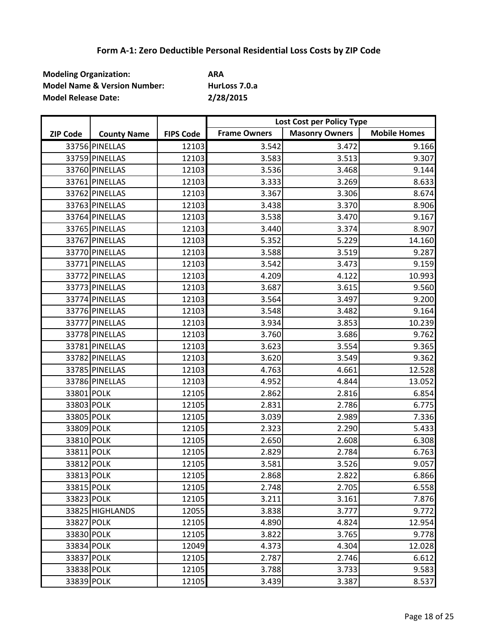| <b>Modeling Organization:</b>           | ARA           |
|-----------------------------------------|---------------|
| <b>Model Name &amp; Version Number:</b> | HurLoss 7.0.a |
| <b>Model Release Date:</b>              | 2/28/2015     |

|                 |                    |                  | Lost Cost per Policy Type |                       |                     |
|-----------------|--------------------|------------------|---------------------------|-----------------------|---------------------|
| <b>ZIP Code</b> | <b>County Name</b> | <b>FIPS Code</b> | <b>Frame Owners</b>       | <b>Masonry Owners</b> | <b>Mobile Homes</b> |
|                 | 33756 PINELLAS     | 12103            | 3.542                     | 3.472                 | 9.166               |
|                 | 33759 PINELLAS     | 12103            | 3.583                     | 3.513                 | 9.307               |
|                 | 33760 PINELLAS     | 12103            | 3.536                     | 3.468                 | 9.144               |
|                 | 33761 PINELLAS     | 12103            | 3.333                     | 3.269                 | 8.633               |
|                 | 33762 PINELLAS     | 12103            | 3.367                     | 3.306                 | 8.674               |
|                 | 33763 PINELLAS     | 12103            | 3.438                     | 3.370                 | 8.906               |
|                 | 33764 PINELLAS     | 12103            | 3.538                     | 3.470                 | 9.167               |
|                 | 33765 PINELLAS     | 12103            | 3.440                     | 3.374                 | 8.907               |
|                 | 33767 PINELLAS     | 12103            | 5.352                     | 5.229                 | 14.160              |
|                 | 33770 PINELLAS     | 12103            | 3.588                     | 3.519                 | 9.287               |
|                 | 33771 PINELLAS     | 12103            | 3.542                     | 3.473                 | 9.159               |
|                 | 33772 PINELLAS     | 12103            | 4.209                     | 4.122                 | 10.993              |
|                 | 33773 PINELLAS     | 12103            | 3.687                     | 3.615                 | 9.560               |
|                 | 33774 PINELLAS     | 12103            | 3.564                     | 3.497                 | 9.200               |
|                 | 33776 PINELLAS     | 12103            | 3.548                     | 3.482                 | 9.164               |
|                 | 33777 PINELLAS     | 12103            | 3.934                     | 3.853                 | 10.239              |
|                 | 33778 PINELLAS     | 12103            | 3.760                     | 3.686                 | 9.762               |
|                 | 33781 PINELLAS     | 12103            | 3.623                     | 3.554                 | 9.365               |
|                 | 33782 PINELLAS     | 12103            | 3.620                     | 3.549                 | 9.362               |
|                 | 33785 PINELLAS     | 12103            | 4.763                     | 4.661                 | 12.528              |
|                 | 33786 PINELLAS     | 12103            | 4.952                     | 4.844                 | 13.052              |
| 33801 POLK      |                    | 12105            | 2.862                     | 2.816                 | 6.854               |
| 33803 POLK      |                    | 12105            | 2.831                     | 2.786                 | 6.775               |
| 33805 POLK      |                    | 12105            | 3.039                     | 2.989                 | 7.336               |
| 33809 POLK      |                    | 12105            | 2.323                     | 2.290                 | 5.433               |
| 33810 POLK      |                    | 12105            | 2.650                     | 2.608                 | 6.308               |
| 33811 POLK      |                    | 12105            | 2.829                     | 2.784                 | 6.763               |
| 33812 POLK      |                    | 12105            | 3.581                     | 3.526                 | 9.057               |
| 33813 POLK      |                    | 12105            | 2.868                     | 2.822                 | 6.866               |
| 33815 POLK      |                    | 12105            | 2.748                     | 2.705                 | 6.558               |
| 33823 POLK      |                    | 12105            | 3.211                     | 3.161                 | 7.876               |
|                 | 33825 HIGHLANDS    | 12055            | 3.838                     | 3.777                 | 9.772               |
| 33827 POLK      |                    | 12105            | 4.890                     | 4.824                 | 12.954              |
| 33830 POLK      |                    | 12105            | 3.822                     | 3.765                 | 9.778               |
| 33834 POLK      |                    | 12049            | 4.373                     | 4.304                 | 12.028              |
| 33837 POLK      |                    | 12105            | 2.787                     | 2.746                 | 6.612               |
| 33838 POLK      |                    | 12105            | 3.788                     | 3.733                 | 9.583               |
| 33839 POLK      |                    | 12105            | 3.439                     | 3.387                 | 8.537               |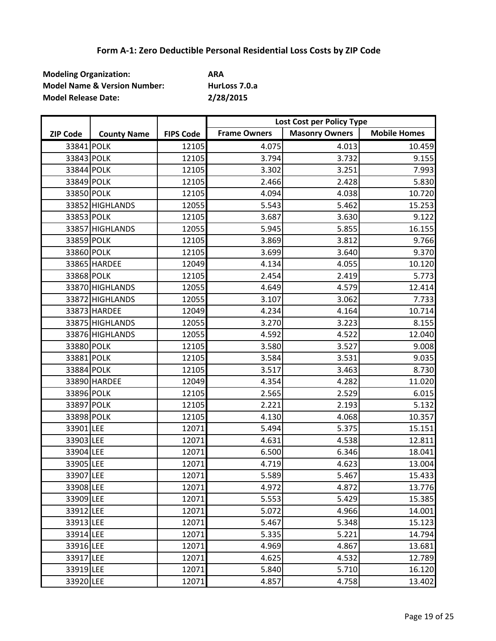| <b>Modeling Organization:</b>           | <b>ARA</b>    |
|-----------------------------------------|---------------|
| <b>Model Name &amp; Version Number:</b> | HurLoss 7.0.a |
| <b>Model Release Date:</b>              | 2/28/2015     |

|                 |                    |                  | Lost Cost per Policy Type |                       |                     |
|-----------------|--------------------|------------------|---------------------------|-----------------------|---------------------|
| <b>ZIP Code</b> | <b>County Name</b> | <b>FIPS Code</b> | <b>Frame Owners</b>       | <b>Masonry Owners</b> | <b>Mobile Homes</b> |
| 33841 POLK      |                    | 12105            | 4.075                     | 4.013                 | 10.459              |
| 33843 POLK      |                    | 12105            | 3.794                     | 3.732                 | 9.155               |
| 33844 POLK      |                    | 12105            | 3.302                     | 3.251                 | 7.993               |
| 33849 POLK      |                    | 12105            | 2.466                     | 2.428                 | 5.830               |
| 33850 POLK      |                    | 12105            | 4.094                     | 4.038                 | 10.720              |
|                 | 33852 HIGHLANDS    | 12055            | 5.543                     | 5.462                 | 15.253              |
| 33853 POLK      |                    | 12105            | 3.687                     | 3.630                 | 9.122               |
|                 | 33857 HIGHLANDS    | 12055            | 5.945                     | 5.855                 | 16.155              |
| 33859 POLK      |                    | 12105            | 3.869                     | 3.812                 | 9.766               |
| 33860 POLK      |                    | 12105            | 3.699                     | 3.640                 | 9.370               |
|                 | 33865 HARDEE       | 12049            | 4.134                     | 4.055                 | 10.120              |
| 33868 POLK      |                    | 12105            | 2.454                     | 2.419                 | 5.773               |
|                 | 33870 HIGHLANDS    | 12055            | 4.649                     | 4.579                 | 12.414              |
|                 | 33872 HIGHLANDS    | 12055            | 3.107                     | 3.062                 | 7.733               |
|                 | 33873 HARDEE       | 12049            | 4.234                     | 4.164                 | 10.714              |
|                 | 33875 HIGHLANDS    | 12055            | 3.270                     | 3.223                 | 8.155               |
|                 | 33876 HIGHLANDS    | 12055            | 4.592                     | 4.522                 | 12.040              |
| 33880 POLK      |                    | 12105            | 3.580                     | 3.527                 | 9.008               |
| 33881 POLK      |                    | 12105            | 3.584                     | 3.531                 | 9.035               |
| 33884 POLK      |                    | 12105            | 3.517                     | 3.463                 | 8.730               |
|                 | 33890 HARDEE       | 12049            | 4.354                     | 4.282                 | 11.020              |
| 33896 POLK      |                    | 12105            | 2.565                     | 2.529                 | 6.015               |
| 33897 POLK      |                    | 12105            | 2.221                     | 2.193                 | 5.132               |
| 33898 POLK      |                    | 12105            | 4.130                     | 4.068                 | 10.357              |
| 33901 LEE       |                    | 12071            | 5.494                     | 5.375                 | 15.151              |
| 33903 LEE       |                    | 12071            | 4.631                     | 4.538                 | 12.811              |
| 33904 LEE       |                    | 12071            | 6.500                     | 6.346                 | 18.041              |
| 33905 LEE       |                    | 12071            | 4.719                     | 4.623                 | 13.004              |
| 33907 LEE       |                    | 12071            | 5.589                     | 5.467                 | 15.433              |
| 33908 LEE       |                    | 12071            | 4.972                     | 4.872                 | 13.776              |
| 33909 LEE       |                    | 12071            | 5.553                     | 5.429                 | 15.385              |
| 33912 LEE       |                    | 12071            | 5.072                     | 4.966                 | 14.001              |
| 33913 LEE       |                    | 12071            | 5.467                     | 5.348                 | 15.123              |
| 33914 LEE       |                    | 12071            | 5.335                     | 5.221                 | 14.794              |
| 33916 LEE       |                    | 12071            | 4.969                     | 4.867                 | 13.681              |
| 33917 LEE       |                    | 12071            | 4.625                     | 4.532                 | 12.789              |
| 33919 LEE       |                    | 12071            | 5.840                     | 5.710                 | 16.120              |
| 33920 LEE       |                    | 12071            | 4.857                     | 4.758                 | 13.402              |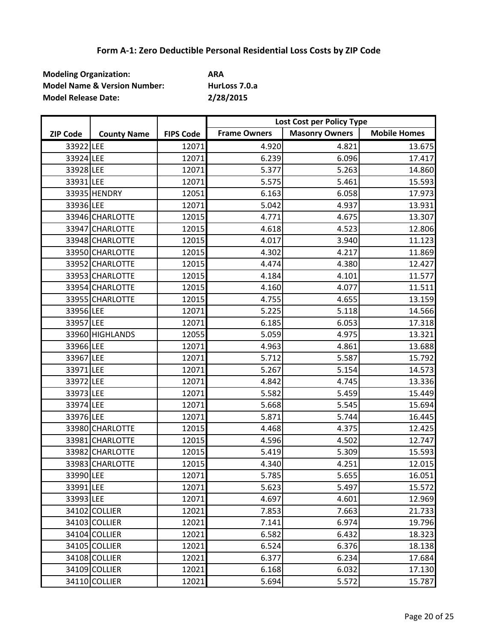| <b>Modeling Organization:</b>           | ARA           |
|-----------------------------------------|---------------|
| <b>Model Name &amp; Version Number:</b> | HurLoss 7.0.a |
| <b>Model Release Date:</b>              | 2/28/2015     |

|                 |                    |                  | Lost Cost per Policy Type |                       |                     |
|-----------------|--------------------|------------------|---------------------------|-----------------------|---------------------|
| <b>ZIP Code</b> | <b>County Name</b> | <b>FIPS Code</b> | <b>Frame Owners</b>       | <b>Masonry Owners</b> | <b>Mobile Homes</b> |
| 33922 LEE       |                    | 12071            | 4.920                     | 4.821                 | 13.675              |
| 33924 LEE       |                    | 12071            | 6.239                     | 6.096                 | 17.417              |
| 33928 LEE       |                    | 12071            | 5.377                     | 5.263                 | 14.860              |
| 33931 LEE       |                    | 12071            | 5.575                     | 5.461                 | 15.593              |
|                 | 33935 HENDRY       | 12051            | 6.163                     | 6.058                 | 17.973              |
| 33936 LEE       |                    | 12071            | 5.042                     | 4.937                 | 13.931              |
|                 | 33946 CHARLOTTE    | 12015            | 4.771                     | 4.675                 | 13.307              |
|                 | 33947 CHARLOTTE    | 12015            | 4.618                     | 4.523                 | 12.806              |
|                 | 33948 CHARLOTTE    | 12015            | 4.017                     | 3.940                 | 11.123              |
|                 | 33950 CHARLOTTE    | 12015            | 4.302                     | 4.217                 | 11.869              |
|                 | 33952 CHARLOTTE    | 12015            | 4.474                     | 4.380                 | 12.427              |
|                 | 33953 CHARLOTTE    | 12015            | 4.184                     | 4.101                 | 11.577              |
|                 | 33954 CHARLOTTE    | 12015            | 4.160                     | 4.077                 | 11.511              |
|                 | 33955 CHARLOTTE    | 12015            | 4.755                     | 4.655                 | 13.159              |
| 33956 LEE       |                    | 12071            | 5.225                     | 5.118                 | 14.566              |
| 33957 LEE       |                    | 12071            | 6.185                     | 6.053                 | 17.318              |
|                 | 33960 HIGHLANDS    | 12055            | 5.059                     | 4.975                 | 13.321              |
| 33966 LEE       |                    | 12071            | 4.963                     | 4.861                 | 13.688              |
| 33967 LEE       |                    | 12071            | 5.712                     | 5.587                 | 15.792              |
| 33971 LEE       |                    | 12071            | 5.267                     | 5.154                 | 14.573              |
| 33972 LEE       |                    | 12071            | 4.842                     | 4.745                 | 13.336              |
| 33973 LEE       |                    | 12071            | 5.582                     | 5.459                 | 15.449              |
| 33974 LEE       |                    | 12071            | 5.668                     | 5.545                 | 15.694              |
| 33976 LEE       |                    | 12071            | 5.871                     | 5.744                 | 16.445              |
|                 | 33980 CHARLOTTE    | 12015            | 4.468                     | 4.375                 | 12.425              |
|                 | 33981 CHARLOTTE    | 12015            | 4.596                     | 4.502                 | 12.747              |
|                 | 33982 CHARLOTTE    | 12015            | 5.419                     | 5.309                 | 15.593              |
|                 | 33983 CHARLOTTE    | 12015            | 4.340                     | 4.251                 | 12.015              |
| 33990 LEE       |                    | 12071            | 5.785                     | 5.655                 | 16.051              |
| 33991 LEE       |                    | 12071            | 5.623                     | 5.497                 | 15.572              |
| 33993 LEE       |                    | 12071            | 4.697                     | 4.601                 | 12.969              |
|                 | 34102 COLLIER      | 12021            | 7.853                     | 7.663                 | 21.733              |
|                 | 34103 COLLIER      | 12021            | 7.141                     | 6.974                 | 19.796              |
|                 | 34104 COLLIER      | 12021            | 6.582                     | 6.432                 | 18.323              |
|                 | 34105 COLLIER      | 12021            | 6.524                     | 6.376                 | 18.138              |
|                 | 34108 COLLIER      | 12021            | 6.377                     | 6.234                 | 17.684              |
|                 | 34109 COLLIER      | 12021            | 6.168                     | 6.032                 | 17.130              |
|                 | 34110 COLLIER      | 12021            | 5.694                     | 5.572                 | 15.787              |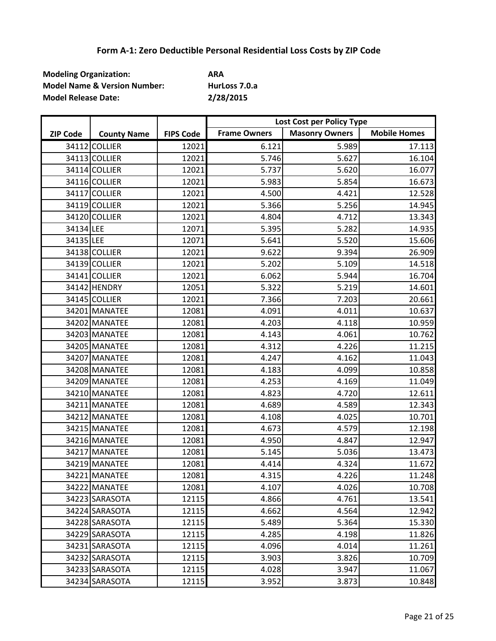| <b>Modeling Organization:</b>           | ARA           |
|-----------------------------------------|---------------|
| <b>Model Name &amp; Version Number:</b> | HurLoss 7.0.a |
| <b>Model Release Date:</b>              | 2/28/2015     |

|                 |                    |                  | Lost Cost per Policy Type |                       |                     |
|-----------------|--------------------|------------------|---------------------------|-----------------------|---------------------|
| <b>ZIP Code</b> | <b>County Name</b> | <b>FIPS Code</b> | <b>Frame Owners</b>       | <b>Masonry Owners</b> | <b>Mobile Homes</b> |
|                 | 34112 COLLIER      | 12021            | 6.121                     | 5.989                 | 17.113              |
|                 | 34113 COLLIER      | 12021            | 5.746                     | 5.627                 | 16.104              |
|                 | 34114 COLLIER      | 12021            | 5.737                     | 5.620                 | 16.077              |
|                 | 34116 COLLIER      | 12021            | 5.983                     | 5.854                 | 16.673              |
|                 | 34117 COLLIER      | 12021            | 4.500                     | 4.421                 | 12.528              |
|                 | 34119 COLLIER      | 12021            | 5.366                     | 5.256                 | 14.945              |
|                 | 34120 COLLIER      | 12021            | 4.804                     | 4.712                 | 13.343              |
| 34134 LEE       |                    | 12071            | 5.395                     | 5.282                 | 14.935              |
| 34135 LEE       |                    | 12071            | 5.641                     | 5.520                 | 15.606              |
|                 | 34138 COLLIER      | 12021            | 9.622                     | 9.394                 | 26.909              |
|                 | 34139 COLLIER      | 12021            | 5.202                     | 5.109                 | 14.518              |
|                 | 34141 COLLIER      | 12021            | 6.062                     | 5.944                 | 16.704              |
|                 | 34142 HENDRY       | 12051            | 5.322                     | 5.219                 | 14.601              |
|                 | 34145 COLLIER      | 12021            | 7.366                     | 7.203                 | 20.661              |
|                 | 34201 MANATEE      | 12081            | 4.091                     | 4.011                 | 10.637              |
|                 | 34202 MANATEE      | 12081            | 4.203                     | 4.118                 | 10.959              |
|                 | 34203 MANATEE      | 12081            | 4.143                     | 4.061                 | 10.762              |
|                 | 34205 MANATEE      | 12081            | 4.312                     | 4.226                 | 11.215              |
|                 | 34207 MANATEE      | 12081            | 4.247                     | 4.162                 | 11.043              |
|                 | 34208 MANATEE      | 12081            | 4.183                     | 4.099                 | 10.858              |
|                 | 34209 MANATEE      | 12081            | 4.253                     | 4.169                 | 11.049              |
|                 | 34210 MANATEE      | 12081            | 4.823                     | 4.720                 | 12.611              |
|                 | 34211 MANATEE      | 12081            | 4.689                     | 4.589                 | 12.343              |
|                 | 34212 MANATEE      | 12081            | 4.108                     | 4.025                 | 10.701              |
|                 | 34215 MANATEE      | 12081            | 4.673                     | 4.579                 | 12.198              |
|                 | 34216 MANATEE      | 12081            | 4.950                     | 4.847                 | 12.947              |
|                 | 34217 MANATEE      | 12081            | 5.145                     | 5.036                 | 13.473              |
|                 | 34219 MANATEE      | 12081            | 4.414                     | 4.324                 | 11.672              |
|                 | 34221 MANATEE      | 12081            | 4.315                     | 4.226                 | 11.248              |
|                 | 34222 MANATEE      | 12081            | 4.107                     | 4.026                 | 10.708              |
|                 | 34223 SARASOTA     | 12115            | 4.866                     | 4.761                 | 13.541              |
|                 | 34224 SARASOTA     | 12115            | 4.662                     | 4.564                 | 12.942              |
|                 | 34228 SARASOTA     | 12115            | 5.489                     | 5.364                 | 15.330              |
|                 | 34229 SARASOTA     | 12115            | 4.285                     | 4.198                 | 11.826              |
|                 | 34231 SARASOTA     | 12115            | 4.096                     | 4.014                 | 11.261              |
|                 | 34232 SARASOTA     | 12115            | 3.903                     | 3.826                 | 10.709              |
|                 | 34233 SARASOTA     | 12115            | 4.028                     | 3.947                 | 11.067              |
|                 | 34234 SARASOTA     | 12115            | 3.952                     | 3.873                 | 10.848              |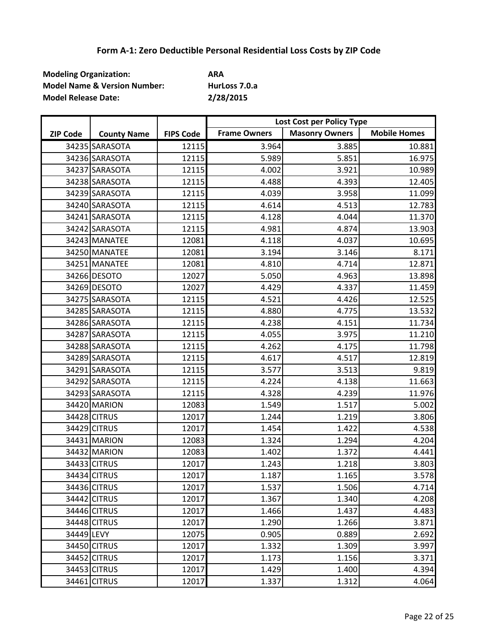| <b>Modeling Organization:</b>           | ARA           |
|-----------------------------------------|---------------|
| <b>Model Name &amp; Version Number:</b> | HurLoss 7.0.a |
| <b>Model Release Date:</b>              | 2/28/2015     |

|                 |                    |                  | Lost Cost per Policy Type |                       |                     |
|-----------------|--------------------|------------------|---------------------------|-----------------------|---------------------|
| <b>ZIP Code</b> | <b>County Name</b> | <b>FIPS Code</b> | <b>Frame Owners</b>       | <b>Masonry Owners</b> | <b>Mobile Homes</b> |
|                 | 34235 SARASOTA     | 12115            | 3.964                     | 3.885                 | 10.881              |
|                 | 34236 SARASOTA     | 12115            | 5.989                     | 5.851                 | 16.975              |
|                 | 34237 SARASOTA     | 12115            | 4.002                     | 3.921                 | 10.989              |
|                 | 34238 SARASOTA     | 12115            | 4.488                     | 4.393                 | 12.405              |
|                 | 34239 SARASOTA     | 12115            | 4.039                     | 3.958                 | 11.099              |
|                 | 34240 SARASOTA     | 12115            | 4.614                     | 4.513                 | 12.783              |
|                 | 34241 SARASOTA     | 12115            | 4.128                     | 4.044                 | 11.370              |
|                 | 34242 SARASOTA     | 12115            | 4.981                     | 4.874                 | 13.903              |
|                 | 34243 MANATEE      | 12081            | 4.118                     | 4.037                 | 10.695              |
|                 | 34250 MANATEE      | 12081            | 3.194                     | 3.146                 | 8.171               |
|                 | 34251 MANATEE      | 12081            | 4.810                     | 4.714                 | 12.871              |
|                 | 34266 DESOTO       | 12027            | 5.050                     | 4.963                 | 13.898              |
|                 | 34269 DESOTO       | 12027            | 4.429                     | 4.337                 | 11.459              |
|                 | 34275 SARASOTA     | 12115            | 4.521                     | 4.426                 | 12.525              |
|                 | 34285 SARASOTA     | 12115            | 4.880                     | 4.775                 | 13.532              |
|                 | 34286 SARASOTA     | 12115            | 4.238                     | 4.151                 | 11.734              |
|                 | 34287 SARASOTA     | 12115            | 4.055                     | 3.975                 | 11.210              |
|                 | 34288 SARASOTA     | 12115            | 4.262                     | 4.175                 | 11.798              |
|                 | 34289 SARASOTA     | 12115            | 4.617                     | 4.517                 | 12.819              |
|                 | 34291 SARASOTA     | 12115            | 3.577                     | 3.513                 | 9.819               |
|                 | 34292 SARASOTA     | 12115            | 4.224                     | 4.138                 | 11.663              |
|                 | 34293 SARASOTA     | 12115            | 4.328                     | 4.239                 | 11.976              |
|                 | 34420 MARION       | 12083            | 1.549                     | 1.517                 | 5.002               |
|                 | 34428 CITRUS       | 12017            | 1.244                     | 1.219                 | 3.806               |
|                 | 34429 CITRUS       | 12017            | 1.454                     | 1.422                 | 4.538               |
|                 | 34431 MARION       | 12083            | 1.324                     | 1.294                 | 4.204               |
|                 | 34432 MARION       | 12083            | 1.402                     | 1.372                 | 4.441               |
|                 | 34433 CITRUS       | 12017            | 1.243                     | 1.218                 | 3.803               |
|                 | 34434 CITRUS       | 12017            | 1.187                     | 1.165                 | 3.578               |
|                 | 34436 CITRUS       | 12017            | 1.537                     | 1.506                 | 4.714               |
|                 | 34442 CITRUS       | 12017            | 1.367                     | 1.340                 | 4.208               |
|                 | 34446 CITRUS       | 12017            | 1.466                     | 1.437                 | 4.483               |
|                 | 34448 CITRUS       | 12017            | 1.290                     | 1.266                 | 3.871               |
| 34449 LEVY      |                    | 12075            | 0.905                     | 0.889                 | 2.692               |
|                 | 34450 CITRUS       | 12017            | 1.332                     | 1.309                 | 3.997               |
|                 | 34452 CITRUS       | 12017            | 1.173                     | 1.156                 | 3.371               |
|                 | 34453 CITRUS       | 12017            | 1.429                     | 1.400                 | 4.394               |
|                 | 34461 CITRUS       | 12017            | 1.337                     | 1.312                 | 4.064               |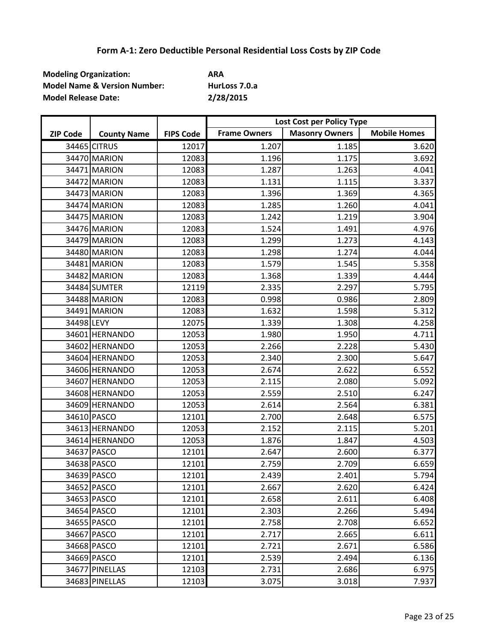| <b>Modeling Organization:</b>           | ARA           |
|-----------------------------------------|---------------|
| <b>Model Name &amp; Version Number:</b> | HurLoss 7.0.a |
| <b>Model Release Date:</b>              | 2/28/2015     |

|                 |                    |                  | Lost Cost per Policy Type |                       |                     |
|-----------------|--------------------|------------------|---------------------------|-----------------------|---------------------|
| <b>ZIP Code</b> | <b>County Name</b> | <b>FIPS Code</b> | <b>Frame Owners</b>       | <b>Masonry Owners</b> | <b>Mobile Homes</b> |
|                 | 34465 CITRUS       | 12017            | 1.207                     | 1.185                 | 3.620               |
|                 | 34470 MARION       | 12083            | 1.196                     | 1.175                 | 3.692               |
|                 | 34471 MARION       | 12083            | 1.287                     | 1.263                 | 4.041               |
|                 | 34472 MARION       | 12083            | 1.131                     | 1.115                 | 3.337               |
|                 | 34473 MARION       | 12083            | 1.396                     | 1.369                 | 4.365               |
|                 | 34474 MARION       | 12083            | 1.285                     | 1.260                 | 4.041               |
|                 | 34475 MARION       | 12083            | 1.242                     | 1.219                 | 3.904               |
|                 | 34476 MARION       | 12083            | 1.524                     | 1.491                 | 4.976               |
|                 | 34479 MARION       | 12083            | 1.299                     | 1.273                 | 4.143               |
|                 | 34480 MARION       | 12083            | 1.298                     | 1.274                 | 4.044               |
|                 | 34481 MARION       | 12083            | 1.579                     | 1.545                 | 5.358               |
|                 | 34482 MARION       | 12083            | 1.368                     | 1.339                 | 4.444               |
|                 | 34484 SUMTER       | 12119            | 2.335                     | 2.297                 | 5.795               |
|                 | 34488 MARION       | 12083            | 0.998                     | 0.986                 | 2.809               |
|                 | 34491 MARION       | 12083            | 1.632                     | 1.598                 | 5.312               |
| 34498 LEVY      |                    | 12075            | 1.339                     | 1.308                 | 4.258               |
|                 | 34601 HERNANDO     | 12053            | 1.980                     | 1.950                 | 4.711               |
|                 | 34602 HERNANDO     | 12053            | 2.266                     | 2.228                 | 5.430               |
|                 | 34604 HERNANDO     | 12053            | 2.340                     | 2.300                 | 5.647               |
|                 | 34606 HERNANDO     | 12053            | 2.674                     | 2.622                 | 6.552               |
|                 | 34607 HERNANDO     | 12053            | 2.115                     | 2.080                 | 5.092               |
|                 | 34608 HERNANDO     | 12053            | 2.559                     | 2.510                 | 6.247               |
|                 | 34609 HERNANDO     | 12053            | 2.614                     | 2.564                 | 6.381               |
|                 | 34610 PASCO        | 12101            | 2.700                     | 2.648                 | 6.575               |
|                 | 34613 HERNANDO     | 12053            | 2.152                     | 2.115                 | 5.201               |
|                 | 34614 HERNANDO     | 12053            | 1.876                     | 1.847                 | 4.503               |
|                 | 34637 PASCO        | 12101            | 2.647                     | 2.600                 | 6.377               |
|                 | 34638 PASCO        | 12101            | 2.759                     | 2.709                 | 6.659               |
|                 | 34639 PASCO        | 12101            | 2.439                     | 2.401                 | 5.794               |
|                 | 34652 PASCO        | 12101            | 2.667                     | 2.620                 | 6.424               |
|                 | 34653 PASCO        | 12101            | 2.658                     | 2.611                 | 6.408               |
|                 | 34654 PASCO        | 12101            | 2.303                     | 2.266                 | 5.494               |
|                 | 34655 PASCO        | 12101            | 2.758                     | 2.708                 | 6.652               |
|                 | 34667 PASCO        | 12101            | 2.717                     | 2.665                 | 6.611               |
|                 | 34668 PASCO        | 12101            | 2.721                     | 2.671                 | 6.586               |
|                 | 34669 PASCO        | 12101            | 2.539                     | 2.494                 | 6.136               |
|                 | 34677 PINELLAS     | 12103            | 2.731                     | 2.686                 | 6.975               |
|                 | 34683 PINELLAS     | 12103            | 3.075                     | 3.018                 | 7.937               |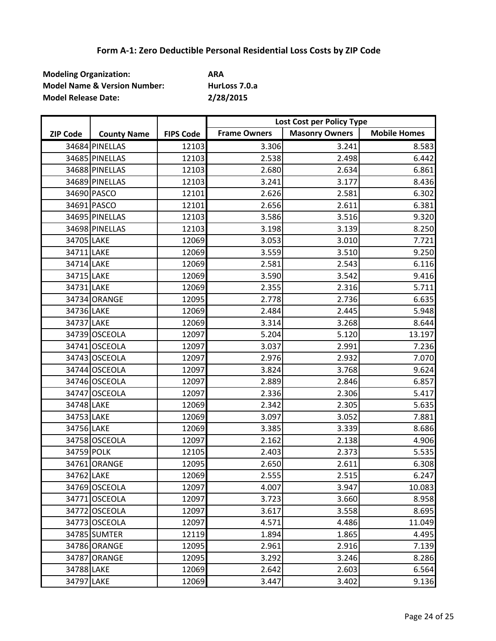| <b>Modeling Organization:</b>           | <b>ARA</b>    |
|-----------------------------------------|---------------|
| <b>Model Name &amp; Version Number:</b> | HurLoss 7.0.a |
| <b>Model Release Date:</b>              | 2/28/2015     |

|                 |                    |                  | Lost Cost per Policy Type |                       |                     |
|-----------------|--------------------|------------------|---------------------------|-----------------------|---------------------|
| <b>ZIP Code</b> | <b>County Name</b> | <b>FIPS Code</b> | <b>Frame Owners</b>       | <b>Masonry Owners</b> | <b>Mobile Homes</b> |
|                 | 34684 PINELLAS     | 12103            | 3.306                     | 3.241                 | 8.583               |
|                 | 34685 PINELLAS     | 12103            | 2.538                     | 2.498                 | 6.442               |
|                 | 34688 PINELLAS     | 12103            | 2.680                     | 2.634                 | 6.861               |
|                 | 34689 PINELLAS     | 12103            | 3.241                     | 3.177                 | 8.436               |
|                 | 34690 PASCO        | 12101            | 2.626                     | 2.581                 | 6.302               |
|                 | 34691 PASCO        | 12101            | 2.656                     | 2.611                 | 6.381               |
|                 | 34695 PINELLAS     | 12103            | 3.586                     | 3.516                 | 9.320               |
|                 | 34698 PINELLAS     | 12103            | 3.198                     | 3.139                 | 8.250               |
| 34705 LAKE      |                    | 12069            | 3.053                     | 3.010                 | 7.721               |
| 34711 LAKE      |                    | 12069            | 3.559                     | 3.510                 | 9.250               |
| 34714 LAKE      |                    | 12069            | 2.581                     | 2.543                 | 6.116               |
| 34715 LAKE      |                    | 12069            | 3.590                     | 3.542                 | 9.416               |
| 34731 LAKE      |                    | 12069            | 2.355                     | 2.316                 | 5.711               |
|                 | 34734 ORANGE       | 12095            | 2.778                     | 2.736                 | 6.635               |
| 34736 LAKE      |                    | 12069            | 2.484                     | 2.445                 | 5.948               |
| 34737 LAKE      |                    | 12069            | 3.314                     | 3.268                 | 8.644               |
|                 | 34739 OSCEOLA      | 12097            | 5.204                     | 5.120                 | 13.197              |
|                 | 34741 OSCEOLA      | 12097            | 3.037                     | 2.991                 | 7.236               |
|                 | 34743 OSCEOLA      | 12097            | 2.976                     | 2.932                 | 7.070               |
|                 | 34744 OSCEOLA      | 12097            | 3.824                     | 3.768                 | 9.624               |
|                 | 34746 OSCEOLA      | 12097            | 2.889                     | 2.846                 | 6.857               |
|                 | 34747 OSCEOLA      | 12097            | 2.336                     | 2.306                 | 5.417               |
| 34748 LAKE      |                    | 12069            | 2.342                     | 2.305                 | 5.635               |
| 34753 LAKE      |                    | 12069            | 3.097                     | 3.052                 | 7.881               |
| 34756 LAKE      |                    | 12069            | 3.385                     | 3.339                 | 8.686               |
|                 | 34758 OSCEOLA      | 12097            | 2.162                     | 2.138                 | 4.906               |
| 34759 POLK      |                    | 12105            | 2.403                     | 2.373                 | 5.535               |
|                 | 34761 ORANGE       | 12095            | 2.650                     | 2.611                 | 6.308               |
| 34762 LAKE      |                    | 12069            | 2.555                     | 2.515                 | 6.247               |
|                 | 34769 OSCEOLA      | 12097            | 4.007                     | 3.947                 | 10.083              |
|                 | 34771 OSCEOLA      | 12097            | 3.723                     | 3.660                 | 8.958               |
|                 | 34772 OSCEOLA      | 12097            | 3.617                     | 3.558                 | 8.695               |
|                 | 34773 OSCEOLA      | 12097            | 4.571                     | 4.486                 | 11.049              |
|                 | 34785 SUMTER       | 12119            | 1.894                     | 1.865                 | 4.495               |
|                 | 34786 ORANGE       | 12095            | 2.961                     | 2.916                 | 7.139               |
|                 | 34787 ORANGE       | 12095            | 3.292                     | 3.246                 | 8.286               |
| 34788 LAKE      |                    | 12069            | 2.642                     | 2.603                 | 6.564               |
| 34797 LAKE      |                    | 12069            | 3.447                     | 3.402                 | 9.136               |